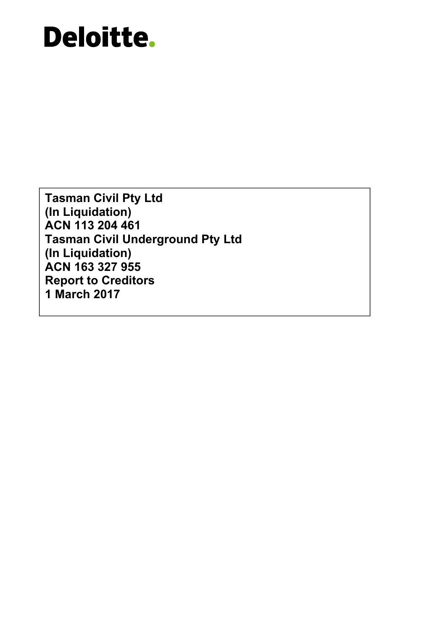**Tasman Civil Pty Ltd (In Liquidation) ACN 113 204 461 Tasman Civil Underground Pty Ltd (In Liquidation) ACN 163 327 955 Report to Creditors 1 March 2017**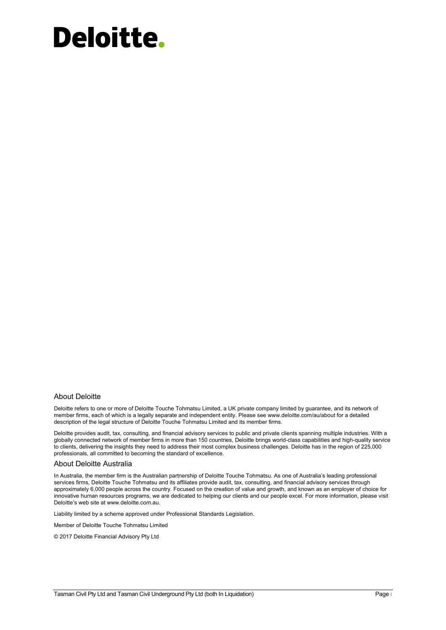#### About Deloitte

Deloitte refers to one or more of Deloitte Touche Tohmatsu Limited, a UK private company limited by guarantee, and its network of member firms, each of which is a legally separate and independent entity. Please see www.deloitte.com/au/about for a detailed description of the legal structure of Deloitte Touche Tohmatsu Limited and its member firms.

Deloitte provides audit, tax, consulting, and financial advisory services to public and private clients spanning multiple industries. With a globally connected network of member firms in more than 150 countries, Deloitte brings world-class capabilities and high-quality service to clients, delivering the insights they need to address their most complex business challenges. Deloitte has in the region of 225,000 professionals, all committed to becoming the standard of excellence.

#### About Deloitte Australia

In Australia, the member firm is the Australian partnership of Deloitte Touche Tohmatsu. As one of Australia's leading professional services firms, Deloitte Touche Tohmatsu and its affiliates provide audit, tax, consulting, and financial advisory services through approximately 6,000 people across the country. Focused on the creation of value and growth, and known as an employer of choice for innovative human resources programs, we are dedicated to helping our clients and our people excel. For more information, please visit Deloitte's web site at www.deloitte.com.au.

Liability limited by a scheme approved under Professional Standards Legislation.

Member of Deloitte Touche Tohmatsu Limited

© 2017 Deloitte Financial Advisory Pty Ltd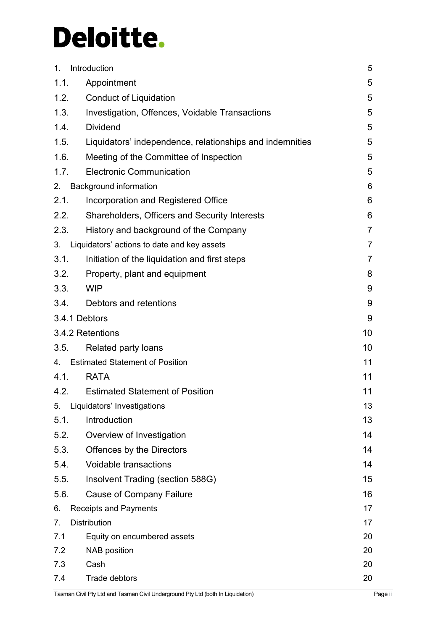| 1.             | Introduction                                             | 5              |
|----------------|----------------------------------------------------------|----------------|
| 1.1.           | Appointment                                              | 5              |
| 1.2.           | <b>Conduct of Liquidation</b>                            | 5              |
| 1.3.           | Investigation, Offences, Voidable Transactions           | 5              |
| 1.4.           | <b>Dividend</b>                                          | 5              |
| 1.5.           | Liquidators' independence, relationships and indemnities | 5              |
| 1.6.           | Meeting of the Committee of Inspection                   | 5              |
| 1.7.           | <b>Electronic Communication</b>                          | 5              |
| 2.             | Background information                                   | 6              |
| 2.1.           | Incorporation and Registered Office                      | 6              |
| 2.2.           | Shareholders, Officers and Security Interests            | 6              |
| 2.3.           | History and background of the Company                    | $\overline{7}$ |
| 3.             | Liquidators' actions to date and key assets              | $\overline{7}$ |
| 3.1.           | Initiation of the liquidation and first steps            | $\overline{7}$ |
| 3.2.           | Property, plant and equipment                            | 8              |
| 3.3.           | <b>WIP</b>                                               | 9              |
| 3.4.           | Debtors and retentions                                   | 9              |
|                | 3.4.1 Debtors                                            | 9              |
|                | 3.4.2 Retentions                                         | 10             |
| 3.5.           | Related party loans                                      | 10             |
|                | 4. Estimated Statement of Position                       | 11             |
| 4.1.           | <b>RATA</b>                                              | 11             |
| 4.2.           | <b>Estimated Statement of Position</b>                   | 11             |
| 5.             | Liquidators' Investigations                              | 13             |
| 5.1.           | Introduction                                             | 13             |
| 5.2.           | Overview of Investigation                                | 14             |
| 5.3.           | Offences by the Directors                                | 14             |
| 5.4.           | Voidable transactions                                    | 14             |
| 5.5.           | Insolvent Trading (section 588G)                         | 15             |
| 5.6.           | <b>Cause of Company Failure</b>                          | 16             |
| 6.             | <b>Receipts and Payments</b>                             | 17             |
| 7 <sub>1</sub> | <b>Distribution</b>                                      | 17             |
| 7.1            | Equity on encumbered assets                              | 20             |
| 7.2            | <b>NAB</b> position                                      | 20             |
| 7.3            | Cash                                                     | 20             |
| 7.4            | Trade debtors                                            | 20             |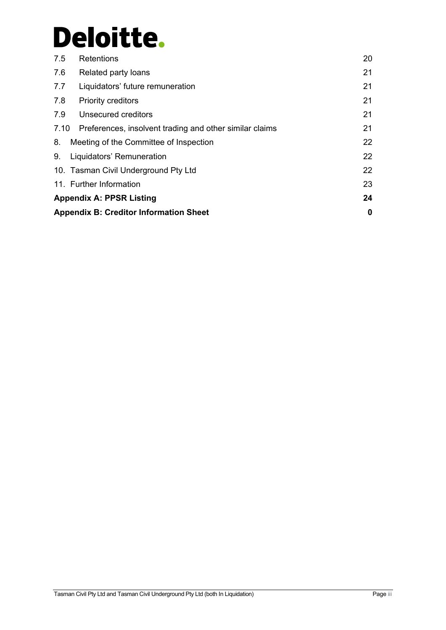| 7.5 | Retentions                                                   | 20 |  |  |
|-----|--------------------------------------------------------------|----|--|--|
| 7.6 | Related party loans                                          | 21 |  |  |
| 7.7 | Liquidators' future remuneration                             | 21 |  |  |
| 7.8 | <b>Priority creditors</b>                                    | 21 |  |  |
| 7.9 | Unsecured creditors                                          | 21 |  |  |
|     | 7.10 Preferences, insolvent trading and other similar claims | 21 |  |  |
| 8.  | Meeting of the Committee of Inspection                       | 22 |  |  |
| 9.  | Liquidators' Remuneration                                    | 22 |  |  |
|     | 10. Tasman Civil Underground Pty Ltd                         | 22 |  |  |
|     | 11. Further Information                                      | 23 |  |  |
|     | 24<br><b>Appendix A: PPSR Listing</b>                        |    |  |  |
|     | <b>Appendix B: Creditor Information Sheet</b>                | 0  |  |  |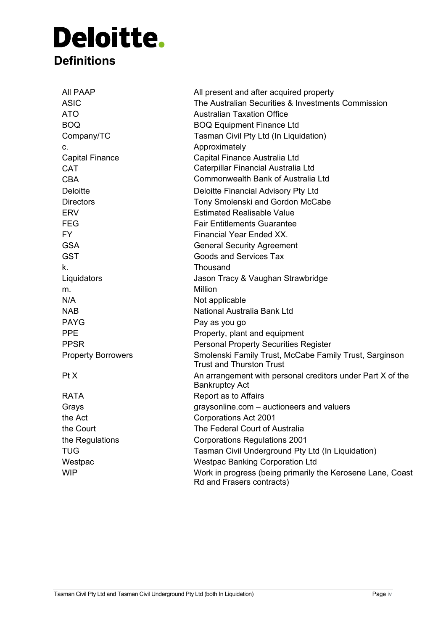# Deloitte. **Definitions**

| AII PAAP                  | All present and after acquired property                                                   |
|---------------------------|-------------------------------------------------------------------------------------------|
| <b>ASIC</b>               | The Australian Securities & Investments Commission                                        |
| <b>ATO</b>                | <b>Australian Taxation Office</b>                                                         |
| <b>BOQ</b>                | <b>BOQ Equipment Finance Ltd</b>                                                          |
| Company/TC                | Tasman Civil Pty Ltd (In Liquidation)                                                     |
| c.                        | Approximately                                                                             |
| <b>Capital Finance</b>    | Capital Finance Australia Ltd                                                             |
| <b>CAT</b>                | Caterpillar Financial Australia Ltd                                                       |
| <b>CBA</b>                | Commonwealth Bank of Australia Ltd                                                        |
| <b>Deloitte</b>           | Deloitte Financial Advisory Pty Ltd                                                       |
| <b>Directors</b>          | Tony Smolenski and Gordon McCabe                                                          |
| <b>ERV</b>                | <b>Estimated Realisable Value</b>                                                         |
| <b>FEG</b>                | <b>Fair Entitlements Guarantee</b>                                                        |
| <b>FY</b>                 | <b>Financial Year Ended XX.</b>                                                           |
| <b>GSA</b>                | <b>General Security Agreement</b>                                                         |
| <b>GST</b>                | <b>Goods and Services Tax</b>                                                             |
| k.                        | Thousand                                                                                  |
| Liquidators               | Jason Tracy & Vaughan Strawbridge                                                         |
| m.                        | <b>Million</b>                                                                            |
| N/A                       | Not applicable                                                                            |
| <b>NAB</b>                | National Australia Bank Ltd                                                               |
| <b>PAYG</b>               | Pay as you go                                                                             |
| <b>PPE</b>                | Property, plant and equipment                                                             |
| <b>PPSR</b>               | <b>Personal Property Securities Register</b>                                              |
| <b>Property Borrowers</b> | Smolenski Family Trust, McCabe Family Trust, Sarginson<br><b>Trust and Thurston Trust</b> |
| Pt X                      | An arrangement with personal creditors under Part X of the<br><b>Bankruptcy Act</b>       |
| <b>RATA</b>               | Report as to Affairs                                                                      |
| Grays                     | graysonline.com - auctioneers and valuers                                                 |
| the Act                   | Corporations Act 2001                                                                     |
| the Court                 | The Federal Court of Australia                                                            |
| the Regulations           | <b>Corporations Regulations 2001</b>                                                      |
| <b>TUG</b>                | Tasman Civil Underground Pty Ltd (In Liquidation)                                         |
| Westpac                   | <b>Westpac Banking Corporation Ltd</b>                                                    |
| <b>WIP</b>                | Work in progress (being primarily the Kerosene Lane, Coast<br>Rd and Frasers contracts)   |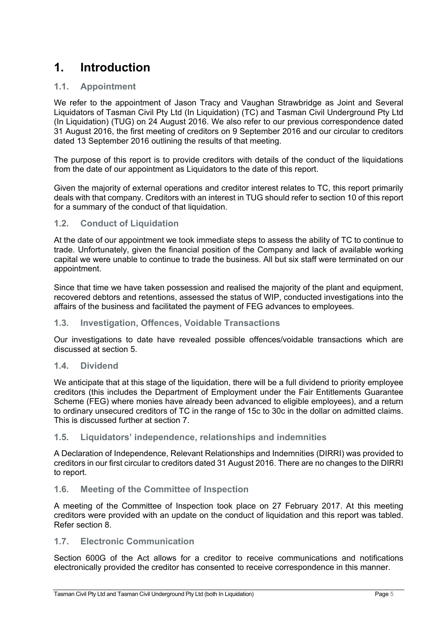## **1. Introduction**

## **1.1. Appointment**

We refer to the appointment of Jason Tracy and Vaughan Strawbridge as Joint and Several Liquidators of Tasman Civil Pty Ltd (In Liquidation) (TC) and Tasman Civil Underground Pty Ltd (In Liquidation) (TUG) on 24 August 2016. We also refer to our previous correspondence dated 31 August 2016, the first meeting of creditors on 9 September 2016 and our circular to creditors dated 13 September 2016 outlining the results of that meeting.

The purpose of this report is to provide creditors with details of the conduct of the liquidations from the date of our appointment as Liquidators to the date of this report.

Given the majority of external operations and creditor interest relates to TC, this report primarily deals with that company. Creditors with an interest in TUG should refer to section 10 of this report for a summary of the conduct of that liquidation.

#### **1.2. Conduct of Liquidation**

At the date of our appointment we took immediate steps to assess the ability of TC to continue to trade. Unfortunately, given the financial position of the Company and lack of available working capital we were unable to continue to trade the business. All but six staff were terminated on our appointment.

Since that time we have taken possession and realised the majority of the plant and equipment, recovered debtors and retentions, assessed the status of WIP, conducted investigations into the affairs of the business and facilitated the payment of FEG advances to employees.

## **1.3. Investigation, Offences, Voidable Transactions**

Our investigations to date have revealed possible offences/voidable transactions which are discussed at section 5.

#### **1.4. Dividend**

We anticipate that at this stage of the liquidation, there will be a full dividend to priority employee creditors (this includes the Department of Employment under the Fair Entitlements Guarantee Scheme (FEG) where monies have already been advanced to eligible employees), and a return to ordinary unsecured creditors of TC in the range of 15c to 30c in the dollar on admitted claims. This is discussed further at section 7.

## **1.5. Liquidators' independence, relationships and indemnities**

A Declaration of Independence, Relevant Relationships and Indemnities (DIRRI) was provided to creditors in our first circular to creditors dated 31 August 2016. There are no changes to the DIRRI to report.

## **1.6. Meeting of the Committee of Inspection**

A meeting of the Committee of Inspection took place on 27 February 2017. At this meeting creditors were provided with an update on the conduct of liquidation and this report was tabled. Refer section 8.

## **1.7. Electronic Communication**

Section 600G of the Act allows for a creditor to receive communications and notifications electronically provided the creditor has consented to receive correspondence in this manner.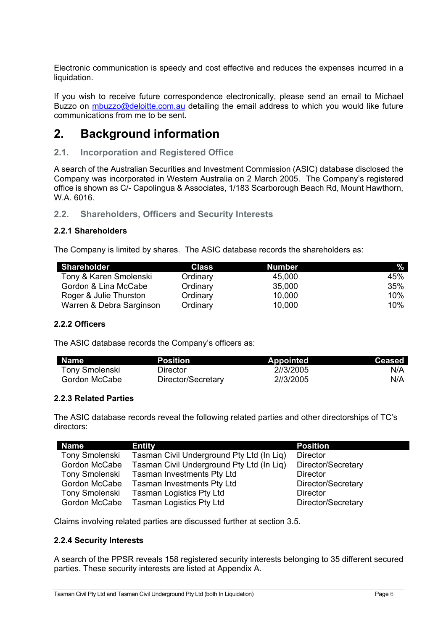Electronic communication is speedy and cost effective and reduces the expenses incurred in a liquidation.

If you wish to receive future correspondence electronically, please send an email to Michael Buzzo on mbuzzo@deloitte.com.au detailing the email address to which you would like future communications from me to be sent.

## **2. Background information**

#### **2.1. Incorporation and Registered Office**

A search of the Australian Securities and Investment Commission (ASIC) database disclosed the Company was incorporated in Western Australia on 2 March 2005. The Company's registered office is shown as C/- Capolingua & Associates, 1/183 Scarborough Beach Rd, Mount Hawthorn, W.A. 6016.

#### **2.2. Shareholders, Officers and Security Interests**

#### **2.2.1 Shareholders**

The Company is limited by shares. The ASIC database records the shareholders as:

| Shareholder              | <b>Class</b> | <b>Number</b> | %   |
|--------------------------|--------------|---------------|-----|
| Tony & Karen Smolenski   | Ordinary     | 45,000        | 45% |
| Gordon & Lina McCabe     | Ordinary     | 35,000        | 35% |
| Roger & Julie Thurston   | Ordinary     | 10,000        | 10% |
| Warren & Debra Sarginson | Ordinary     | 10,000        | 10% |

#### **2.2.2 Officers**

The ASIC database records the Company's officers as:

| Name <sup>1</sup>     | <b>Position</b>    | <b>Appointed</b> | Ceased |
|-----------------------|--------------------|------------------|--------|
| <b>Tony Smolenski</b> | Director           | 2//3/2005        | N/A    |
| Gordon McCabe         | Director/Secretary | 2//3/2005        | N/A    |

#### **2.2.3 Related Parties**

The ASIC database records reveal the following related parties and other directorships of TC's directors:

| <b>Name</b>           | <b>Entity</b>                             | <b>Position</b>    |
|-----------------------|-------------------------------------------|--------------------|
| <b>Tony Smolenski</b> | Tasman Civil Underground Pty Ltd (In Liq) | <b>Director</b>    |
| Gordon McCabe         | Tasman Civil Underground Pty Ltd (In Liq) | Director/Secretary |
| Tony Smolenski        | <b>Tasman Investments Pty Ltd</b>         | <b>Director</b>    |
| Gordon McCabe         | <b>Tasman Investments Pty Ltd</b>         | Director/Secretary |
| <b>Tony Smolenski</b> | <b>Tasman Logistics Pty Ltd</b>           | <b>Director</b>    |
| Gordon McCabe         | <b>Tasman Logistics Pty Ltd</b>           | Director/Secretary |

Claims involving related parties are discussed further at section 3.5.

#### **2.2.4 Security Interests**

A search of the PPSR reveals 158 registered security interests belonging to 35 different secured parties. These security interests are listed at Appendix A.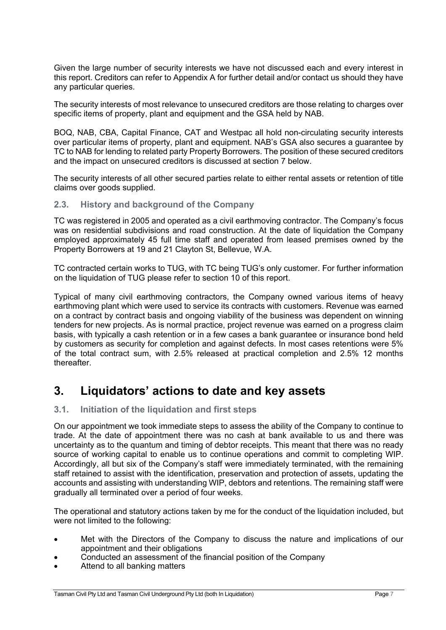Given the large number of security interests we have not discussed each and every interest in this report. Creditors can refer to Appendix A for further detail and/or contact us should they have any particular queries.

The security interests of most relevance to unsecured creditors are those relating to charges over specific items of property, plant and equipment and the GSA held by NAB.

BOQ, NAB, CBA, Capital Finance, CAT and Westpac all hold non-circulating security interests over particular items of property, plant and equipment. NAB's GSA also secures a guarantee by TC to NAB for lending to related party Property Borrowers. The position of these secured creditors and the impact on unsecured creditors is discussed at section 7 below.

The security interests of all other secured parties relate to either rental assets or retention of title claims over goods supplied.

#### **2.3. History and background of the Company**

TC was registered in 2005 and operated as a civil earthmoving contractor. The Company's focus was on residential subdivisions and road construction. At the date of liquidation the Company employed approximately 45 full time staff and operated from leased premises owned by the Property Borrowers at 19 and 21 Clayton St, Bellevue, W.A.

TC contracted certain works to TUG, with TC being TUG's only customer. For further information on the liquidation of TUG please refer to section 10 of this report.

Typical of many civil earthmoving contractors, the Company owned various items of heavy earthmoving plant which were used to service its contracts with customers. Revenue was earned on a contract by contract basis and ongoing viability of the business was dependent on winning tenders for new projects. As is normal practice, project revenue was earned on a progress claim basis, with typically a cash retention or in a few cases a bank guarantee or insurance bond held by customers as security for completion and against defects. In most cases retentions were 5% of the total contract sum, with 2.5% released at practical completion and 2.5% 12 months thereafter.

## **3. Liquidators' actions to date and key assets**

## **3.1. Initiation of the liquidation and first steps**

On our appointment we took immediate steps to assess the ability of the Company to continue to trade. At the date of appointment there was no cash at bank available to us and there was uncertainty as to the quantum and timing of debtor receipts. This meant that there was no ready source of working capital to enable us to continue operations and commit to completing WIP. Accordingly, all but six of the Company's staff were immediately terminated, with the remaining staff retained to assist with the identification, preservation and protection of assets, updating the accounts and assisting with understanding WIP, debtors and retentions. The remaining staff were gradually all terminated over a period of four weeks.

The operational and statutory actions taken by me for the conduct of the liquidation included, but were not limited to the following:

- Met with the Directors of the Company to discuss the nature and implications of our appointment and their obligations
- Conducted an assessment of the financial position of the Company
- Attend to all banking matters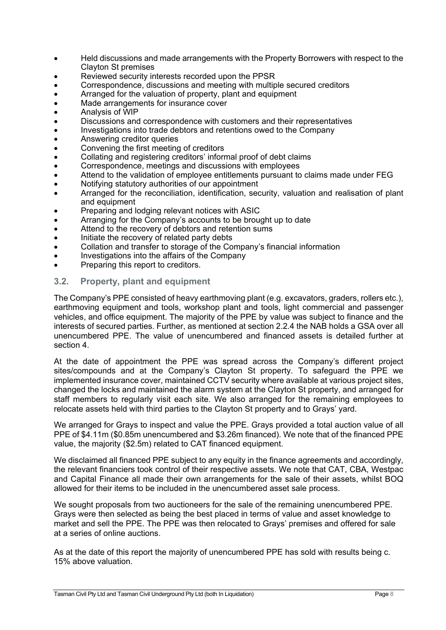- Held discussions and made arrangements with the Property Borrowers with respect to the Clayton St premises
- Reviewed security interests recorded upon the PPSR
- Correspondence, discussions and meeting with multiple secured creditors
- Arranged for the valuation of property, plant and equipment
- Made arrangements for insurance cover
- Analysis of WIP
- Discussions and correspondence with customers and their representatives
- Investigations into trade debtors and retentions owed to the Company
- Answering creditor queries
- Convening the first meeting of creditors
- Collating and registering creditors' informal proof of debt claims
- Correspondence, meetings and discussions with employees
- Attend to the validation of employee entitlements pursuant to claims made under FEG
- Notifying statutory authorities of our appointment
- Arranged for the reconciliation, identification, security, valuation and realisation of plant and equipment
- Preparing and lodging relevant notices with ASIC
- Arranging for the Company's accounts to be brought up to date
- Attend to the recovery of debtors and retention sums
- Initiate the recovery of related party debts
- Collation and transfer to storage of the Company's financial information
- Investigations into the affairs of the Company
- Preparing this report to creditors.

#### **3.2. Property, plant and equipment**

The Company's PPE consisted of heavy earthmoving plant (e.g. excavators, graders, rollers etc.), earthmoving equipment and tools, workshop plant and tools, light commercial and passenger vehicles, and office equipment. The majority of the PPE by value was subject to finance and the interests of secured parties. Further, as mentioned at section 2.2.4 the NAB holds a GSA over all unencumbered PPE. The value of unencumbered and financed assets is detailed further at section 4.

At the date of appointment the PPE was spread across the Company's different project sites/compounds and at the Company's Clayton St property. To safeguard the PPE we implemented insurance cover, maintained CCTV security where available at various project sites, changed the locks and maintained the alarm system at the Clayton St property, and arranged for staff members to regularly visit each site. We also arranged for the remaining employees to relocate assets held with third parties to the Clayton St property and to Grays' yard.

We arranged for Grays to inspect and value the PPE. Grays provided a total auction value of all PPE of \$4.11m (\$0.85m unencumbered and \$3.26m financed). We note that of the financed PPE value, the majority (\$2.5m) related to CAT financed equipment.

We disclaimed all financed PPE subject to any equity in the finance agreements and accordingly, the relevant financiers took control of their respective assets. We note that CAT, CBA, Westpac and Capital Finance all made their own arrangements for the sale of their assets, whilst BOQ allowed for their items to be included in the unencumbered asset sale process.

We sought proposals from two auctioneers for the sale of the remaining unencumbered PPE. Grays were then selected as being the best placed in terms of value and asset knowledge to market and sell the PPE. The PPE was then relocated to Grays' premises and offered for sale at a series of online auctions.

As at the date of this report the majority of unencumbered PPE has sold with results being c. 15% above valuation.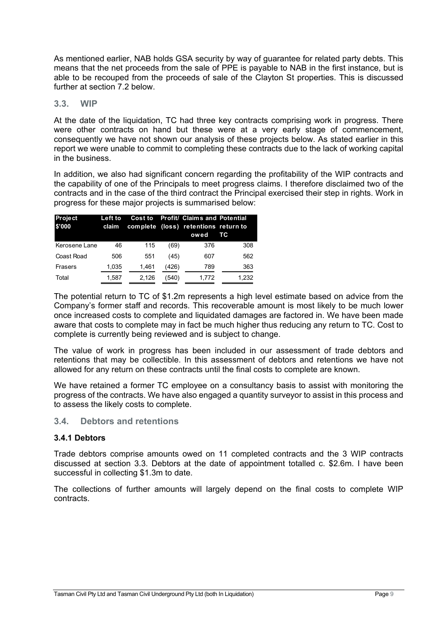As mentioned earlier, NAB holds GSA security by way of guarantee for related party debts. This means that the net proceeds from the sale of PPE is payable to NAB in the first instance, but is able to be recouped from the proceeds of sale of the Clayton St properties. This is discussed further at section 7.2 below.

#### **3.3. WIP**

At the date of the liquidation, TC had three key contracts comprising work in progress. There were other contracts on hand but these were at a very early stage of commencement. consequently we have not shown our analysis of these projects below. As stated earlier in this report we were unable to commit to completing these contracts due to the lack of working capital in the business.

In addition, we also had significant concern regarding the profitability of the WIP contracts and the capability of one of the Principals to meet progress claims. I therefore disclaimed two of the contracts and in the case of the third contract the Principal exercised their step in rights. Work in progress for these major projects is summarised below:

| <b>Project</b><br>\$'000 | Left to<br>claim | <b>Cost to</b> |       | <b>Profit/ Claims and Potential</b><br>complete (loss) retentions return to<br>owed | тc    |
|--------------------------|------------------|----------------|-------|-------------------------------------------------------------------------------------|-------|
| Kerosene Lane            | 46               | 115            | (69)  | 376                                                                                 | 308   |
| Coast Road               | 506              | 551            | (45)  | 607                                                                                 | 562   |
| Frasers                  | 1,035            | 1,461          | (426) | 789                                                                                 | 363   |
| Total                    | 1,587            | 2,126          | (540) | 1.772                                                                               | 1,232 |

The potential return to TC of \$1.2m represents a high level estimate based on advice from the Company's former staff and records. This recoverable amount is most likely to be much lower once increased costs to complete and liquidated damages are factored in. We have been made aware that costs to complete may in fact be much higher thus reducing any return to TC. Cost to complete is currently being reviewed and is subject to change.

The value of work in progress has been included in our assessment of trade debtors and retentions that may be collectible. In this assessment of debtors and retentions we have not allowed for any return on these contracts until the final costs to complete are known.

We have retained a former TC employee on a consultancy basis to assist with monitoring the progress of the contracts. We have also engaged a quantity surveyor to assist in this process and to assess the likely costs to complete.

#### **3.4. Debtors and retentions**

#### **3.4.1 Debtors**

Trade debtors comprise amounts owed on 11 completed contracts and the 3 WIP contracts discussed at section 3.3. Debtors at the date of appointment totalled c. \$2.6m. I have been successful in collecting \$1.3m to date.

The collections of further amounts will largely depend on the final costs to complete WIP contracts.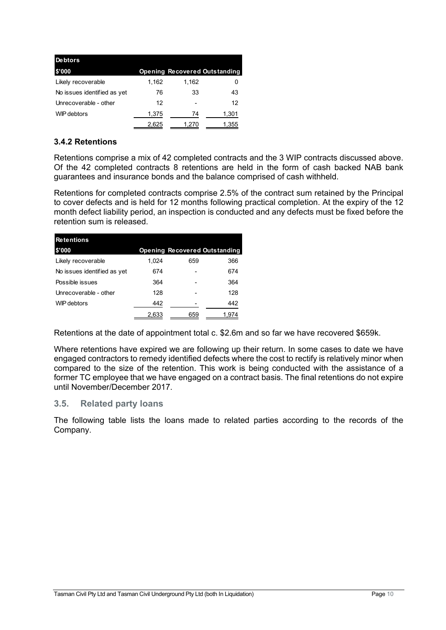| <b>Debtors</b>              |       |       |                                      |
|-----------------------------|-------|-------|--------------------------------------|
| \$'000                      |       |       | <b>Opening Recovered Outstanding</b> |
| Likely recoverable          | 1,162 | 1,162 | O                                    |
| No issues identified as yet | 76    | 33    | 43                                   |
| Unrecoverable - other       | 12    |       | 12                                   |
| WIP debtors                 | 1,375 | 74    | 1,301                                |
|                             | 2,625 | 1.270 | 1,355                                |

## **3.4.2 Retentions**

Retentions comprise a mix of 42 completed contracts and the 3 WIP contracts discussed above. Of the 42 completed contracts 8 retentions are held in the form of cash backed NAB bank guarantees and insurance bonds and the balance comprised of cash withheld.

Retentions for completed contracts comprise 2.5% of the contract sum retained by the Principal to cover defects and is held for 12 months following practical completion. At the expiry of the 12 month defect liability period, an inspection is conducted and any defects must be fixed before the retention sum is released.

| <b>Retentions</b>           |       |     |                                      |  |  |  |
|-----------------------------|-------|-----|--------------------------------------|--|--|--|
| \$'000                      |       |     | <b>Opening Recovered Outstanding</b> |  |  |  |
| Likely recoverable          | 1.024 | 659 | 366                                  |  |  |  |
| No issues identified as yet | 674   |     | 674                                  |  |  |  |
| Possible issues             | 364   |     | 364                                  |  |  |  |
| Unrecoverable - other       | 128   |     | 128                                  |  |  |  |
| WIP debtors                 | 442   |     | 442                                  |  |  |  |
|                             | 2,633 | 659 | 1,974                                |  |  |  |

Retentions at the date of appointment total c. \$2.6m and so far we have recovered \$659k.

Where retentions have expired we are following up their return. In some cases to date we have engaged contractors to remedy identified defects where the cost to rectify is relatively minor when compared to the size of the retention. This work is being conducted with the assistance of a former TC employee that we have engaged on a contract basis. The final retentions do not expire until November/December 2017.

#### **3.5. Related party loans**

The following table lists the loans made to related parties according to the records of the Company.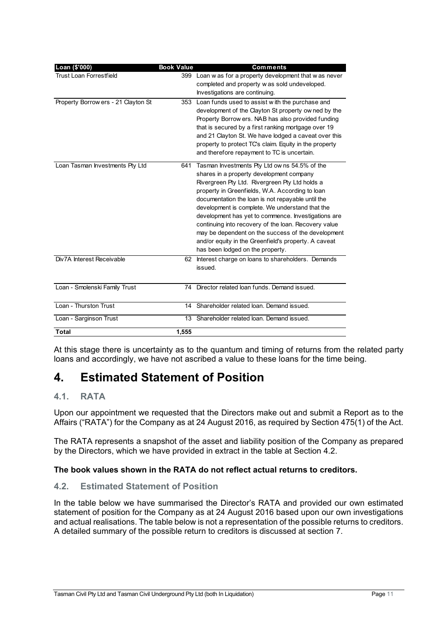| Loan (\$'000)                       | <b>Book Value</b> | <b>Comments</b>                                                                                                                                                                                                                                                                                                                                                                                                                                                                                                                                                        |
|-------------------------------------|-------------------|------------------------------------------------------------------------------------------------------------------------------------------------------------------------------------------------------------------------------------------------------------------------------------------------------------------------------------------------------------------------------------------------------------------------------------------------------------------------------------------------------------------------------------------------------------------------|
| Trust Loan Forrestfield             |                   | 399 Loan w as for a property development that w as never<br>completed and property was sold undeveloped.<br>Investigations are continuing.                                                                                                                                                                                                                                                                                                                                                                                                                             |
| Property Borrow ers - 21 Clayton St |                   | 353 Loan funds used to assist with the purchase and<br>development of the Clayton St property ow ned by the<br>Property Borrow ers. NAB has also provided funding<br>that is secured by a first ranking mortgage over 19<br>and 21 Clayton St. We have lodged a caveat over this<br>property to protect TC's claim. Equity in the property<br>and therefore repayment to TC is uncertain.                                                                                                                                                                              |
| Loan Tasman Investments Pty Ltd     | 641               | Tasman Investments Pty Ltd owns 54.5% of the<br>shares in a property development company<br>Rivergreen Pty Ltd. Rivergreen Pty Ltd holds a<br>property in Greenfields, W.A. According to loan<br>documentation the loan is not repayable until the<br>development is complete. We understand that the<br>development has yet to commence. Investigations are<br>continuing into recovery of the loan. Recovery value<br>may be dependent on the success of the development<br>and/or equity in the Greenfield's property. A caveat<br>has been lodged on the property. |
| Div7A Interest Receivable           | 62                | Interest charge on loans to shareholders. Demands<br>issued.                                                                                                                                                                                                                                                                                                                                                                                                                                                                                                           |
| Loan - Smolenski Family Trust       | 74                | Director related loan funds. Demand issued.                                                                                                                                                                                                                                                                                                                                                                                                                                                                                                                            |
| Loan - Thurston Trust               |                   | 14 Shareholder related loan. Demand issued.                                                                                                                                                                                                                                                                                                                                                                                                                                                                                                                            |
| Loan - Sarginson Trust              | 13                | Shareholder related loan. Demand issued.                                                                                                                                                                                                                                                                                                                                                                                                                                                                                                                               |
| <b>Total</b>                        | 1,555             |                                                                                                                                                                                                                                                                                                                                                                                                                                                                                                                                                                        |

At this stage there is uncertainty as to the quantum and timing of returns from the related party loans and accordingly, we have not ascribed a value to these loans for the time being.

# **4. Estimated Statement of Position**

## **4.1. RATA**

Upon our appointment we requested that the Directors make out and submit a Report as to the Affairs ("RATA") for the Company as at 24 August 2016, as required by Section 475(1) of the Act.

The RATA represents a snapshot of the asset and liability position of the Company as prepared by the Directors, which we have provided in extract in the table at Section 4.2.

## **The book values shown in the RATA do not reflect actual returns to creditors.**

## **4.2. Estimated Statement of Position**

In the table below we have summarised the Director's RATA and provided our own estimated statement of position for the Company as at 24 August 2016 based upon our own investigations and actual realisations. The table below is not a representation of the possible returns to creditors. A detailed summary of the possible return to creditors is discussed at section 7.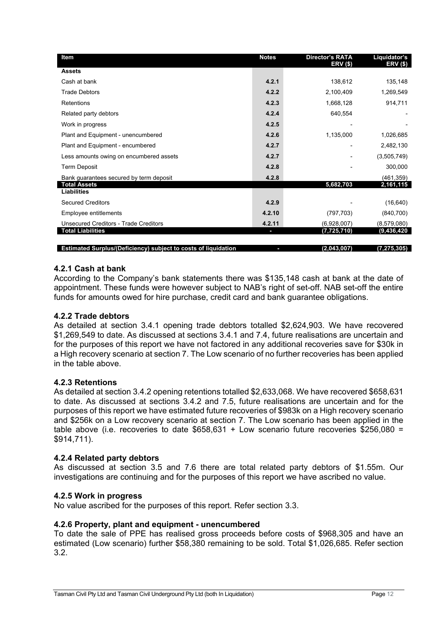| <b>Item</b>                                                    | <b>Notes</b> | <b>Director's RATA</b><br>ERV(\$) | Liquidator's<br>ERV (\$) |
|----------------------------------------------------------------|--------------|-----------------------------------|--------------------------|
| <b>Assets</b>                                                  |              |                                   |                          |
| Cash at bank                                                   | 4.2.1        | 138,612                           | 135,148                  |
| <b>Trade Debtors</b>                                           | 4.2.2        | 2,100,409                         | 1,269,549                |
| <b>Retentions</b>                                              | 4.2.3        | 1,668,128                         | 914,711                  |
| Related party debtors                                          | 4.2.4        | 640,554                           |                          |
| Work in progress                                               | 4.2.5        |                                   |                          |
| Plant and Equipment - unencumbered                             | 4.2.6        | 1,135,000                         | 1,026,685                |
| Plant and Equipment - encumbered                               | 4.2.7        |                                   | 2,482,130                |
| Less amounts owing on encumbered assets                        | 4.2.7        |                                   | (3,505,749)              |
| <b>Term Deposit</b>                                            | 4.2.8        |                                   | 300,000                  |
| Bank guarantees secured by term deposit                        | 4.2.8        |                                   | (461, 359)               |
| <b>Total Assets</b><br><b>Liabilities</b>                      |              | 5,682,703                         | 2,161,115                |
| <b>Secured Creditors</b>                                       | 4.2.9        |                                   | (16, 640)                |
|                                                                |              |                                   |                          |
| Employee entitlements                                          | 4.2.10       | (797, 703)                        | (840, 700)               |
| <b>Unsecured Creditors - Trade Creditors</b>                   | 4.2.11       | (6,928,007)                       | (8,579,080)              |
| <b>Total Liabilities</b>                                       | ı            | (7, 725, 710)                     | (9,436,420               |
| Estimated Surplus/(Deficiency) subject to costs of liquidation | r            | (2,043,007)                       | (7,275,305)              |

#### **4.2.1 Cash at bank**

According to the Company's bank statements there was \$135,148 cash at bank at the date of appointment. These funds were however subject to NAB's right of set-off. NAB set-off the entire funds for amounts owed for hire purchase, credit card and bank guarantee obligations.

#### **4.2.2 Trade debtors**

As detailed at section 3.4.1 opening trade debtors totalled \$2,624,903. We have recovered \$1,269,549 to date. As discussed at sections 3.4.1 and 7.4, future realisations are uncertain and for the purposes of this report we have not factored in any additional recoveries save for \$30k in a High recovery scenario at section 7. The Low scenario of no further recoveries has been applied in the table above.

#### **4.2.3 Retentions**

As detailed at section 3.4.2 opening retentions totalled \$2,633,068. We have recovered \$658,631 to date. As discussed at sections 3.4.2 and 7.5, future realisations are uncertain and for the purposes of this report we have estimated future recoveries of \$983k on a High recovery scenario and \$256k on a Low recovery scenario at section 7. The Low scenario has been applied in the table above (i.e. recoveries to date  $$658,631$  + Low scenario future recoveries  $$256,080$  = \$914,711).

#### **4.2.4 Related party debtors**

As discussed at section 3.5 and 7.6 there are total related party debtors of \$1.55m. Our investigations are continuing and for the purposes of this report we have ascribed no value.

#### **4.2.5 Work in progress**

No value ascribed for the purposes of this report. Refer section 3.3.

#### **4.2.6 Property, plant and equipment - unencumbered**

To date the sale of PPE has realised gross proceeds before costs of \$968,305 and have an estimated (Low scenario) further \$58,380 remaining to be sold. Total \$1,026,685. Refer section 3.2.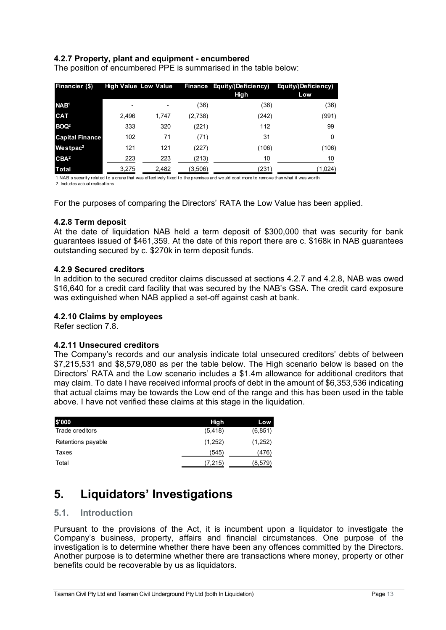#### **4.2.7 Property, plant and equipment - encumbered**

The position of encumbered PPE is summarised in the table below:

| Financier (\$)         |       | <b>High Value Low Value</b> |         | Finance Equity/(Deficiency)<br>High | Equity/(Deficiency)<br>Low |
|------------------------|-------|-----------------------------|---------|-------------------------------------|----------------------------|
| NAB <sup>1</sup>       | ٠     |                             | (36)    | (36)                                | (36)                       |
| <b>CAT</b>             | 2.496 | 1.747                       | (2,738) | (242)                               | (991)                      |
| BOQ <sup>2</sup>       | 333   | 320                         | (221)   | 112                                 | 99                         |
| <b>Capital Finance</b> | 102   | 71                          | (71)    | 31                                  | 0                          |
| Westpac <sup>2</sup>   | 121   | 121                         | (227)   | (106)                               | (106)                      |
| CBA <sup>2</sup>       | 223   | 223                         | (213)   | 10                                  | 10                         |
| <b>Total</b>           | 3,275 | 2,482                       | (3,506) | (231)                               | (1,024)                    |

1. NAB's security related to a crane that was effectively fixed to the premises and would cost more to remove than what it was worth. 2. Includes actual realisations

For the purposes of comparing the Directors' RATA the Low Value has been applied.

#### **4.2.8 Term deposit**

At the date of liquidation NAB held a term deposit of \$300,000 that was security for bank guarantees issued of \$461,359. At the date of this report there are c. \$168k in NAB guarantees outstanding secured by c. \$270k in term deposit funds.

#### **4.2.9 Secured creditors**

In addition to the secured creditor claims discussed at sections 4.2.7 and 4.2.8, NAB was owed \$16,640 for a credit card facility that was secured by the NAB's GSA. The credit card exposure was extinguished when NAB applied a set-off against cash at bank.

#### **4.2.10 Claims by employees**

Refer section 7.8.

#### **4.2.11 Unsecured creditors**

The Company's records and our analysis indicate total unsecured creditors' debts of between \$7,215,531 and \$8,579,080 as per the table below. The High scenario below is based on the Directors' RATA and the Low scenario includes a \$1.4m allowance for additional creditors that may claim. To date I have received informal proofs of debt in the amount of \$6,353,536 indicating that actual claims may be towards the Low end of the range and this has been used in the table above. I have not verified these claims at this stage in the liquidation.

| \$'000             | High     | Low      |
|--------------------|----------|----------|
| Trade creditors    | (5, 418) | (6, 851) |
| Retentions payable | (1,252)  | (1,252)  |
| Taxes              | (545)    | (476)    |
| Total              | (7,215)  | (8,579)  |

## **5. Liquidators' Investigations**

#### **5.1. Introduction**

Pursuant to the provisions of the Act, it is incumbent upon a liquidator to investigate the Company's business, property, affairs and financial circumstances. One purpose of the investigation is to determine whether there have been any offences committed by the Directors. Another purpose is to determine whether there are transactions where money, property or other benefits could be recoverable by us as liquidators.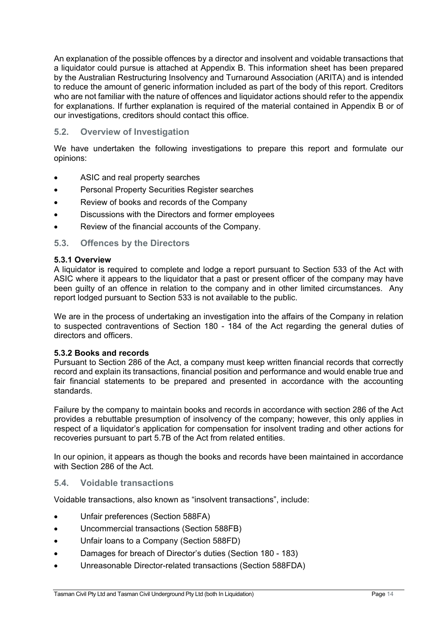An explanation of the possible offences by a director and insolvent and voidable transactions that a liquidator could pursue is attached at Appendix B. This information sheet has been prepared by the Australian Restructuring Insolvency and Turnaround Association (ARITA) and is intended to reduce the amount of generic information included as part of the body of this report. Creditors who are not familiar with the nature of offences and liquidator actions should refer to the appendix for explanations. If further explanation is required of the material contained in Appendix B or of our investigations, creditors should contact this office.

#### **5.2. Overview of Investigation**

We have undertaken the following investigations to prepare this report and formulate our opinions:

- ASIC and real property searches
- Personal Property Securities Register searches
- Review of books and records of the Company
- Discussions with the Directors and former employees
- Review of the financial accounts of the Company.

#### **5.3. Offences by the Directors**

#### **5.3.1 Overview**

A liquidator is required to complete and lodge a report pursuant to Section 533 of the Act with ASIC where it appears to the liquidator that a past or present officer of the company may have been guilty of an offence in relation to the company and in other limited circumstances. Any report lodged pursuant to Section 533 is not available to the public.

We are in the process of undertaking an investigation into the affairs of the Company in relation to suspected contraventions of Section 180 - 184 of the Act regarding the general duties of directors and officers.

#### **5.3.2 Books and records**

Pursuant to Section 286 of the Act, a company must keep written financial records that correctly record and explain its transactions, financial position and performance and would enable true and fair financial statements to be prepared and presented in accordance with the accounting standards.

Failure by the company to maintain books and records in accordance with section 286 of the Act provides a rebuttable presumption of insolvency of the company; however, this only applies in respect of a liquidator's application for compensation for insolvent trading and other actions for recoveries pursuant to part 5.7B of the Act from related entities.

In our opinion, it appears as though the books and records have been maintained in accordance with Section 286 of the Act.

#### **5.4. Voidable transactions**

Voidable transactions, also known as "insolvent transactions", include:

- Unfair preferences (Section 588FA)
- Uncommercial transactions (Section 588FB)
- Unfair loans to a Company (Section 588FD)
- Damages for breach of Director's duties (Section 180 183)
- Unreasonable Director-related transactions (Section 588FDA)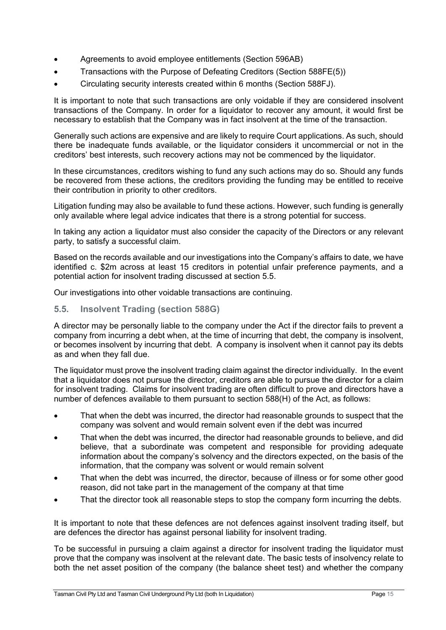- Agreements to avoid employee entitlements (Section 596AB)
- Transactions with the Purpose of Defeating Creditors (Section 588FE(5))
- Circulating security interests created within 6 months (Section 588FJ).

It is important to note that such transactions are only voidable if they are considered insolvent transactions of the Company. In order for a liquidator to recover any amount, it would first be necessary to establish that the Company was in fact insolvent at the time of the transaction.

Generally such actions are expensive and are likely to require Court applications. As such, should there be inadequate funds available, or the liquidator considers it uncommercial or not in the creditors' best interests, such recovery actions may not be commenced by the liquidator.

In these circumstances, creditors wishing to fund any such actions may do so. Should any funds be recovered from these actions, the creditors providing the funding may be entitled to receive their contribution in priority to other creditors.

Litigation funding may also be available to fund these actions. However, such funding is generally only available where legal advice indicates that there is a strong potential for success.

In taking any action a liquidator must also consider the capacity of the Directors or any relevant party, to satisfy a successful claim.

Based on the records available and our investigations into the Company's affairs to date, we have identified c. \$2m across at least 15 creditors in potential unfair preference payments, and a potential action for insolvent trading discussed at section 5.5.

Our investigations into other voidable transactions are continuing.

#### **5.5. Insolvent Trading (section 588G)**

A director may be personally liable to the company under the Act if the director fails to prevent a company from incurring a debt when, at the time of incurring that debt, the company is insolvent, or becomes insolvent by incurring that debt. A company is insolvent when it cannot pay its debts as and when they fall due.

The liquidator must prove the insolvent trading claim against the director individually. In the event that a liquidator does not pursue the director, creditors are able to pursue the director for a claim for insolvent trading. Claims for insolvent trading are often difficult to prove and directors have a number of defences available to them pursuant to section 588(H) of the Act, as follows:

- That when the debt was incurred, the director had reasonable grounds to suspect that the company was solvent and would remain solvent even if the debt was incurred
- That when the debt was incurred, the director had reasonable grounds to believe, and did believe, that a subordinate was competent and responsible for providing adequate information about the company's solvency and the directors expected, on the basis of the information, that the company was solvent or would remain solvent
- That when the debt was incurred, the director, because of illness or for some other good reason, did not take part in the management of the company at that time
- That the director took all reasonable steps to stop the company form incurring the debts.

It is important to note that these defences are not defences against insolvent trading itself, but are defences the director has against personal liability for insolvent trading.

To be successful in pursuing a claim against a director for insolvent trading the liquidator must prove that the company was insolvent at the relevant date. The basic tests of insolvency relate to both the net asset position of the company (the balance sheet test) and whether the company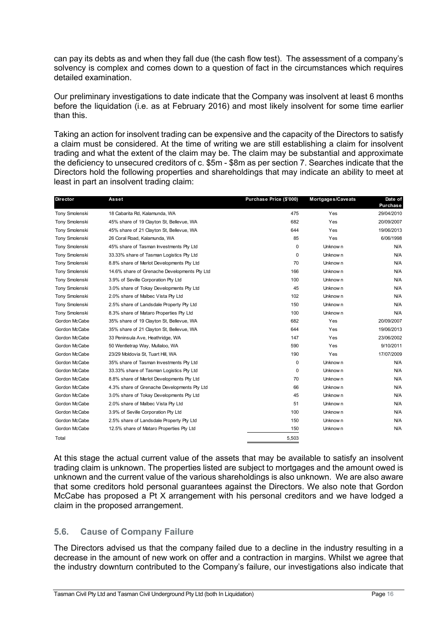can pay its debts as and when they fall due (the cash flow test). The assessment of a company's solvency is complex and comes down to a question of fact in the circumstances which requires detailed examination.

Our preliminary investigations to date indicate that the Company was insolvent at least 6 months before the liquidation (i.e. as at February 2016) and most likely insolvent for some time earlier than this.

Taking an action for insolvent trading can be expensive and the capacity of the Directors to satisfy a claim must be considered. At the time of writing we are still establishing a claim for insolvent trading and what the extent of the claim may be. The claim may be substantial and approximate the deficiency to unsecured creditors of c. \$5m - \$8m as per section 7. Searches indicate that the Directors hold the following properties and shareholdings that may indicate an ability to meet at least in part an insolvent trading claim:

| <b>Director</b> | Asset                                        | Purchase Price (\$'000) | Mortgages/Caveats | Date of<br><b>Purchase</b> |
|-----------------|----------------------------------------------|-------------------------|-------------------|----------------------------|
| Tony Smolenski  | 18 Cabarita Rd, Kalamunda, WA                | 475                     | Yes               | 29/04/2010                 |
| Tony Smolenski  | 45% share of 19 Clayton St, Bellevue, WA     | 682                     | Yes               | 20/09/2007                 |
| Tony Smolenski  | 45% share of 21 Clayton St, Bellevue, WA     | 644                     | Yes               | 19/06/2013                 |
| Tony Smolenski  | 26 Coral Road, Kalamunda, WA                 | 85                      | Yes               | 6/06/1998                  |
| Tony Smolenski  | 45% share of Tasman Investments Pty Ltd      | $\Omega$                | Unknow n          | N/A                        |
| Tony Smolenski  | 33.33% share of Tasman Logistics Pty Ltd     | 0                       | Unknow n          | N/A                        |
| Tony Smolenski  | 8.8% share of Merlot Developments Pty Ltd    | 70                      | Unknow n          | <b>N/A</b>                 |
| Tony Smolenski  | 14.6% share of Grenache Developments Pty Ltd | 166                     | Unknow n          | N/A                        |
| Tony Smolenski  | 3.9% of Seville Corporation Pty Ltd          | 100                     | Unknow n          | N/A                        |
| Tony Smolenski  | 3.0% share of Tokay Developments Pty Ltd     | 45                      | Unknow n          | <b>N/A</b>                 |
| Tony Smolenski  | 2.0% share of Malbec Vista Pty Ltd           | 102                     | Unknow n          | N/A                        |
| Tony Smolenski  | 2.5% share of Landsdale Property Pty Ltd     | 150                     | Unknow n          | N/A                        |
| Tony Smolenski  | 8.3% share of Mataro Properties Pty Ltd      | 100                     | Unknow n          | <b>N/A</b>                 |
| Gordon McCabe   | 35% share of 19 Clayton St, Bellevue, WA     | 682                     | Yes               | 20/09/2007                 |
| Gordon McCabe   | 35% share of 21 Clayton St, Bellevue, WA     | 644                     | Yes               | 19/06/2013                 |
| Gordon McCabe   | 33 Peninsula Ave, Heathridge, WA             | 147                     | Yes               | 23/06/2002                 |
| Gordon McCabe   | 50 Wentletrap Way, Mullaloo, WA              | 590                     | Yes               | 9/10/2011                  |
| Gordon McCabe   | 23/29 Moldovia St, Tuart Hill, WA            | 190                     | Yes               | 17/07/2009                 |
| Gordon McCabe   | 35% share of Tasman Investments Pty Ltd      | 0                       | Unknow n          | <b>N/A</b>                 |
| Gordon McCabe   | 33.33% share of Tasman Logistics Pty Ltd     | 0                       | Unknow n          | N/A                        |
| Gordon McCabe   | 8.8% share of Merlot Developments Pty Ltd    | 70                      | Unknow n          | <b>N/A</b>                 |
| Gordon McCabe   | 4.3% share of Grenache Developments Pty Ltd  | 66                      | Unknow n          | <b>N/A</b>                 |
| Gordon McCabe   | 3.0% share of Tokay Developments Pty Ltd     | 45                      | Unknow n          | <b>N/A</b>                 |
| Gordon McCabe   | 2.0% share of Malbec Vista Pty Ltd           | 51                      | Unknow n          | <b>N/A</b>                 |
| Gordon McCabe   | 3.9% of Seville Corporation Pty Ltd          | 100                     | Unknow n          | N/A                        |
| Gordon McCabe   | 2.5% share of Landsdale Property Pty Ltd     | 150                     | Unknow n          | <b>N/A</b>                 |
| Gordon McCabe   | 12.5% share of Mataro Properties Pty Ltd     | 150                     | Unknow n          | <b>N/A</b>                 |
| Total           |                                              | 5,503                   |                   |                            |

At this stage the actual current value of the assets that may be available to satisfy an insolvent trading claim is unknown. The properties listed are subject to mortgages and the amount owed is unknown and the current value of the various shareholdings is also unknown. We are also aware that some creditors hold personal guarantees against the Directors. We also note that Gordon McCabe has proposed a Pt X arrangement with his personal creditors and we have lodged a claim in the proposed arrangement.

## **5.6. Cause of Company Failure**

The Directors advised us that the company failed due to a decline in the industry resulting in a decrease in the amount of new work on offer and a contraction in margins. Whilst we agree that the industry downturn contributed to the Company's failure, our investigations also indicate that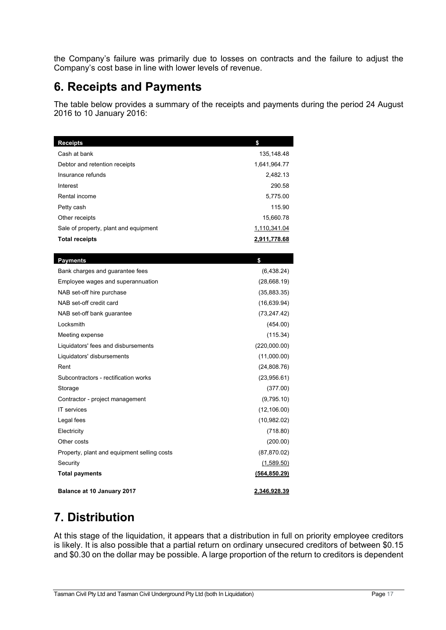the Company's failure was primarily due to losses on contracts and the failure to adjust the Company's cost base in line with lower levels of revenue.

## **6. Receipts and Payments**

The table below provides a summary of the receipts and payments during the period 24 August 2016 to 10 January 2016:

| <b>Receipts</b>                             | \$            |
|---------------------------------------------|---------------|
| Cash at bank                                | 135,148.48    |
| Debtor and retention receipts               | 1,641,964.77  |
| Insurance refunds                           | 2,482.13      |
| Interest                                    | 290.58        |
| Rental income                               | 5,775.00      |
| Petty cash                                  | 115.90        |
| Other receipts                              | 15,660.78     |
| Sale of property, plant and equipment       | 1,110,341.04  |
| <b>Total receipts</b>                       | 2,911,778.68  |
|                                             |               |
| <b>Payments</b>                             | \$            |
| Bank charges and guarantee fees             | (6,438.24)    |
| Employee wages and superannuation           | (28,668.19)   |
| NAB set-off hire purchase                   | (35,883.35)   |
| NAB set-off credit card                     | (16, 639.94)  |
| NAB set-off bank guarantee                  | (73, 247.42)  |
| Locksmith                                   | (454.00)      |
| Meeting expense                             | (115.34)      |
| Liquidators' fees and disbursements         | (220,000.00)  |
| Liquidators' disbursements                  | (11,000.00)   |
| Rent                                        | (24,808.76)   |
| Subcontractors - rectification works        | (23,956.61)   |
| Storage                                     | (377.00)      |
| Contractor - project management             | (9,795.10)    |
| <b>IT</b> services                          | (12, 106.00)  |
| Legal fees                                  | (10,982.02)   |
| Electricity                                 | (718.80)      |
| Other costs                                 | (200.00)      |
| Property, plant and equipment selling costs | (87, 870.02)  |
| Security                                    | (1,589.50)    |
| <b>Total payments</b>                       | (564, 850.29) |
| Balance at 10 January 2017                  | 2.346.928.39  |

# **7. Distribution**

At this stage of the liquidation, it appears that a distribution in full on priority employee creditors is likely. It is also possible that a partial return on ordinary unsecured creditors of between \$0.15 and \$0.30 on the dollar may be possible. A large proportion of the return to creditors is dependent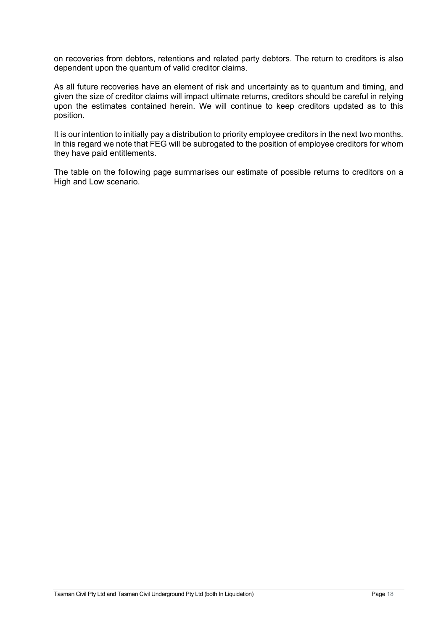on recoveries from debtors, retentions and related party debtors. The return to creditors is also dependent upon the quantum of valid creditor claims.

As all future recoveries have an element of risk and uncertainty as to quantum and timing, and given the size of creditor claims will impact ultimate returns, creditors should be careful in relying upon the estimates contained herein. We will continue to keep creditors updated as to this position.

It is our intention to initially pay a distribution to priority employee creditors in the next two months. In this regard we note that FEG will be subrogated to the position of employee creditors for whom they have paid entitlements.

The table on the following page summarises our estimate of possible returns to creditors on a High and Low scenario.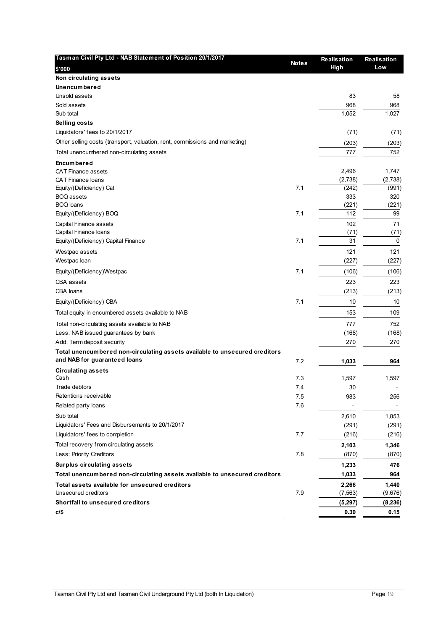| Low<br>\$'000<br>Non circulating assets<br><b>Unencumbered</b><br>83<br>Unsold assets<br>58<br>968<br>Sold assets<br>968<br>1,052<br>1,027<br>Sub total<br>Selling costs<br>Liquidators' fees to 20/1/2017<br>(71)<br>(71)<br>Other selling costs (transport, valuation, rent, commissions and marketing)<br>(203)<br>(203)<br>752<br>777<br>Total unencumbered non-circulating assets<br><b>Encumbered</b><br>2,496<br>1,747<br><b>CAT Finance assets</b><br>(2,738)<br>(2,738)<br><b>CAT Finance loans</b><br>7.1<br>Equity/(Deficiency) Cat<br>(242)<br>(991)<br>333<br>BOQ assets<br>320<br><b>BOQ</b> loans<br>(221)<br>(221)<br>112<br>7.1<br>99<br>Equity/(Deficiency) BOQ<br>71<br>Capital Finance assets<br>102<br>Capital Finance loans<br>(71)<br>(71)<br>7.1<br>31<br>Equity/(Deficiency) Capital Finance<br>0<br>121<br>121<br>Westpac assets<br>(227)<br>Westpac loan<br>(227)<br>7.1<br>Equity/(Deficiency)Westpac<br>(106)<br>(106)<br>223<br>223<br>CBA assets<br>CBA loans<br>(213)<br>(213)<br>7.1<br>10<br>Equity/(Deficiency) CBA<br>10<br>153<br>109<br>Total equity in encumbered assets available to NAB<br>777<br>752<br>Total non-circulating assets available to NAB<br>Less: NAB issued guarantees by bank<br>(168)<br>Add: Term deposit security<br>270<br>270<br>Total unencumbered non-circulating assets available to unsecured creditors<br>and NAB for guaranteed loans<br>7.2<br>1,033<br>964<br><b>Circulating assets</b><br>Cash<br>7.3<br>1,597<br>1,597<br>Trade debtors<br>7.4<br>30<br>Retentions receivable<br>7.5<br>983<br>256<br>7.6<br>Related party loans<br>Sub total<br>2,610<br>1,853<br>Liquidators' Fees and Disbursements to 20/1/2017<br>(291)<br>(291)<br>7.7<br>Liquidators' fees to completion<br>(216)<br>(216)<br>Total recovery from circulating assets<br>2,103<br>1,346<br>Less: Priority Creditors<br>7.8<br>(870)<br>(870)<br><b>Surplus circulating assets</b><br>1,233<br>476<br>Total unencumbered non-circulating assets available to unsecured creditors<br>1,033<br>964<br>Total assets available for unsecured creditors<br>2,266<br>1,440<br>Unsecured creditors<br>7.9<br>(7, 563)<br>(9,676)<br>Shortfall to unsecured creditors<br>(5, 297)<br>(8, 236)<br>c/\$<br>0.30<br>0.15 | Tasman Civil Pty Ltd - NAB Statement of Position 20/1/2017 | <b>Notes</b> | Realisation | <b>Realisation</b> |
|------------------------------------------------------------------------------------------------------------------------------------------------------------------------------------------------------------------------------------------------------------------------------------------------------------------------------------------------------------------------------------------------------------------------------------------------------------------------------------------------------------------------------------------------------------------------------------------------------------------------------------------------------------------------------------------------------------------------------------------------------------------------------------------------------------------------------------------------------------------------------------------------------------------------------------------------------------------------------------------------------------------------------------------------------------------------------------------------------------------------------------------------------------------------------------------------------------------------------------------------------------------------------------------------------------------------------------------------------------------------------------------------------------------------------------------------------------------------------------------------------------------------------------------------------------------------------------------------------------------------------------------------------------------------------------------------------------------------------------------------------------------------------------------------------------------------------------------------------------------------------------------------------------------------------------------------------------------------------------------------------------------------------------------------------------------------------------------------------------------------------------------------------------------------------------------------------------------------------------------------------------|------------------------------------------------------------|--------------|-------------|--------------------|
|                                                                                                                                                                                                                                                                                                                                                                                                                                                                                                                                                                                                                                                                                                                                                                                                                                                                                                                                                                                                                                                                                                                                                                                                                                                                                                                                                                                                                                                                                                                                                                                                                                                                                                                                                                                                                                                                                                                                                                                                                                                                                                                                                                                                                                                            |                                                            |              | High        |                    |
|                                                                                                                                                                                                                                                                                                                                                                                                                                                                                                                                                                                                                                                                                                                                                                                                                                                                                                                                                                                                                                                                                                                                                                                                                                                                                                                                                                                                                                                                                                                                                                                                                                                                                                                                                                                                                                                                                                                                                                                                                                                                                                                                                                                                                                                            |                                                            |              |             |                    |
|                                                                                                                                                                                                                                                                                                                                                                                                                                                                                                                                                                                                                                                                                                                                                                                                                                                                                                                                                                                                                                                                                                                                                                                                                                                                                                                                                                                                                                                                                                                                                                                                                                                                                                                                                                                                                                                                                                                                                                                                                                                                                                                                                                                                                                                            |                                                            |              |             |                    |
|                                                                                                                                                                                                                                                                                                                                                                                                                                                                                                                                                                                                                                                                                                                                                                                                                                                                                                                                                                                                                                                                                                                                                                                                                                                                                                                                                                                                                                                                                                                                                                                                                                                                                                                                                                                                                                                                                                                                                                                                                                                                                                                                                                                                                                                            |                                                            |              |             |                    |
|                                                                                                                                                                                                                                                                                                                                                                                                                                                                                                                                                                                                                                                                                                                                                                                                                                                                                                                                                                                                                                                                                                                                                                                                                                                                                                                                                                                                                                                                                                                                                                                                                                                                                                                                                                                                                                                                                                                                                                                                                                                                                                                                                                                                                                                            |                                                            |              |             |                    |
|                                                                                                                                                                                                                                                                                                                                                                                                                                                                                                                                                                                                                                                                                                                                                                                                                                                                                                                                                                                                                                                                                                                                                                                                                                                                                                                                                                                                                                                                                                                                                                                                                                                                                                                                                                                                                                                                                                                                                                                                                                                                                                                                                                                                                                                            |                                                            |              |             |                    |
|                                                                                                                                                                                                                                                                                                                                                                                                                                                                                                                                                                                                                                                                                                                                                                                                                                                                                                                                                                                                                                                                                                                                                                                                                                                                                                                                                                                                                                                                                                                                                                                                                                                                                                                                                                                                                                                                                                                                                                                                                                                                                                                                                                                                                                                            |                                                            |              |             |                    |
|                                                                                                                                                                                                                                                                                                                                                                                                                                                                                                                                                                                                                                                                                                                                                                                                                                                                                                                                                                                                                                                                                                                                                                                                                                                                                                                                                                                                                                                                                                                                                                                                                                                                                                                                                                                                                                                                                                                                                                                                                                                                                                                                                                                                                                                            |                                                            |              |             |                    |
|                                                                                                                                                                                                                                                                                                                                                                                                                                                                                                                                                                                                                                                                                                                                                                                                                                                                                                                                                                                                                                                                                                                                                                                                                                                                                                                                                                                                                                                                                                                                                                                                                                                                                                                                                                                                                                                                                                                                                                                                                                                                                                                                                                                                                                                            |                                                            |              |             |                    |
|                                                                                                                                                                                                                                                                                                                                                                                                                                                                                                                                                                                                                                                                                                                                                                                                                                                                                                                                                                                                                                                                                                                                                                                                                                                                                                                                                                                                                                                                                                                                                                                                                                                                                                                                                                                                                                                                                                                                                                                                                                                                                                                                                                                                                                                            |                                                            |              |             |                    |
|                                                                                                                                                                                                                                                                                                                                                                                                                                                                                                                                                                                                                                                                                                                                                                                                                                                                                                                                                                                                                                                                                                                                                                                                                                                                                                                                                                                                                                                                                                                                                                                                                                                                                                                                                                                                                                                                                                                                                                                                                                                                                                                                                                                                                                                            |                                                            |              |             |                    |
|                                                                                                                                                                                                                                                                                                                                                                                                                                                                                                                                                                                                                                                                                                                                                                                                                                                                                                                                                                                                                                                                                                                                                                                                                                                                                                                                                                                                                                                                                                                                                                                                                                                                                                                                                                                                                                                                                                                                                                                                                                                                                                                                                                                                                                                            |                                                            |              |             |                    |
|                                                                                                                                                                                                                                                                                                                                                                                                                                                                                                                                                                                                                                                                                                                                                                                                                                                                                                                                                                                                                                                                                                                                                                                                                                                                                                                                                                                                                                                                                                                                                                                                                                                                                                                                                                                                                                                                                                                                                                                                                                                                                                                                                                                                                                                            |                                                            |              |             |                    |
|                                                                                                                                                                                                                                                                                                                                                                                                                                                                                                                                                                                                                                                                                                                                                                                                                                                                                                                                                                                                                                                                                                                                                                                                                                                                                                                                                                                                                                                                                                                                                                                                                                                                                                                                                                                                                                                                                                                                                                                                                                                                                                                                                                                                                                                            |                                                            |              |             |                    |
|                                                                                                                                                                                                                                                                                                                                                                                                                                                                                                                                                                                                                                                                                                                                                                                                                                                                                                                                                                                                                                                                                                                                                                                                                                                                                                                                                                                                                                                                                                                                                                                                                                                                                                                                                                                                                                                                                                                                                                                                                                                                                                                                                                                                                                                            |                                                            |              |             |                    |
|                                                                                                                                                                                                                                                                                                                                                                                                                                                                                                                                                                                                                                                                                                                                                                                                                                                                                                                                                                                                                                                                                                                                                                                                                                                                                                                                                                                                                                                                                                                                                                                                                                                                                                                                                                                                                                                                                                                                                                                                                                                                                                                                                                                                                                                            |                                                            |              |             |                    |
|                                                                                                                                                                                                                                                                                                                                                                                                                                                                                                                                                                                                                                                                                                                                                                                                                                                                                                                                                                                                                                                                                                                                                                                                                                                                                                                                                                                                                                                                                                                                                                                                                                                                                                                                                                                                                                                                                                                                                                                                                                                                                                                                                                                                                                                            |                                                            |              |             |                    |
|                                                                                                                                                                                                                                                                                                                                                                                                                                                                                                                                                                                                                                                                                                                                                                                                                                                                                                                                                                                                                                                                                                                                                                                                                                                                                                                                                                                                                                                                                                                                                                                                                                                                                                                                                                                                                                                                                                                                                                                                                                                                                                                                                                                                                                                            |                                                            |              |             |                    |
|                                                                                                                                                                                                                                                                                                                                                                                                                                                                                                                                                                                                                                                                                                                                                                                                                                                                                                                                                                                                                                                                                                                                                                                                                                                                                                                                                                                                                                                                                                                                                                                                                                                                                                                                                                                                                                                                                                                                                                                                                                                                                                                                                                                                                                                            |                                                            |              |             |                    |
|                                                                                                                                                                                                                                                                                                                                                                                                                                                                                                                                                                                                                                                                                                                                                                                                                                                                                                                                                                                                                                                                                                                                                                                                                                                                                                                                                                                                                                                                                                                                                                                                                                                                                                                                                                                                                                                                                                                                                                                                                                                                                                                                                                                                                                                            |                                                            |              |             |                    |
|                                                                                                                                                                                                                                                                                                                                                                                                                                                                                                                                                                                                                                                                                                                                                                                                                                                                                                                                                                                                                                                                                                                                                                                                                                                                                                                                                                                                                                                                                                                                                                                                                                                                                                                                                                                                                                                                                                                                                                                                                                                                                                                                                                                                                                                            |                                                            |              |             |                    |
|                                                                                                                                                                                                                                                                                                                                                                                                                                                                                                                                                                                                                                                                                                                                                                                                                                                                                                                                                                                                                                                                                                                                                                                                                                                                                                                                                                                                                                                                                                                                                                                                                                                                                                                                                                                                                                                                                                                                                                                                                                                                                                                                                                                                                                                            |                                                            |              |             |                    |
|                                                                                                                                                                                                                                                                                                                                                                                                                                                                                                                                                                                                                                                                                                                                                                                                                                                                                                                                                                                                                                                                                                                                                                                                                                                                                                                                                                                                                                                                                                                                                                                                                                                                                                                                                                                                                                                                                                                                                                                                                                                                                                                                                                                                                                                            |                                                            |              |             |                    |
|                                                                                                                                                                                                                                                                                                                                                                                                                                                                                                                                                                                                                                                                                                                                                                                                                                                                                                                                                                                                                                                                                                                                                                                                                                                                                                                                                                                                                                                                                                                                                                                                                                                                                                                                                                                                                                                                                                                                                                                                                                                                                                                                                                                                                                                            |                                                            |              |             |                    |
|                                                                                                                                                                                                                                                                                                                                                                                                                                                                                                                                                                                                                                                                                                                                                                                                                                                                                                                                                                                                                                                                                                                                                                                                                                                                                                                                                                                                                                                                                                                                                                                                                                                                                                                                                                                                                                                                                                                                                                                                                                                                                                                                                                                                                                                            |                                                            |              |             |                    |
|                                                                                                                                                                                                                                                                                                                                                                                                                                                                                                                                                                                                                                                                                                                                                                                                                                                                                                                                                                                                                                                                                                                                                                                                                                                                                                                                                                                                                                                                                                                                                                                                                                                                                                                                                                                                                                                                                                                                                                                                                                                                                                                                                                                                                                                            |                                                            |              |             |                    |
|                                                                                                                                                                                                                                                                                                                                                                                                                                                                                                                                                                                                                                                                                                                                                                                                                                                                                                                                                                                                                                                                                                                                                                                                                                                                                                                                                                                                                                                                                                                                                                                                                                                                                                                                                                                                                                                                                                                                                                                                                                                                                                                                                                                                                                                            |                                                            |              |             |                    |
|                                                                                                                                                                                                                                                                                                                                                                                                                                                                                                                                                                                                                                                                                                                                                                                                                                                                                                                                                                                                                                                                                                                                                                                                                                                                                                                                                                                                                                                                                                                                                                                                                                                                                                                                                                                                                                                                                                                                                                                                                                                                                                                                                                                                                                                            |                                                            |              |             | (168)              |
|                                                                                                                                                                                                                                                                                                                                                                                                                                                                                                                                                                                                                                                                                                                                                                                                                                                                                                                                                                                                                                                                                                                                                                                                                                                                                                                                                                                                                                                                                                                                                                                                                                                                                                                                                                                                                                                                                                                                                                                                                                                                                                                                                                                                                                                            |                                                            |              |             |                    |
|                                                                                                                                                                                                                                                                                                                                                                                                                                                                                                                                                                                                                                                                                                                                                                                                                                                                                                                                                                                                                                                                                                                                                                                                                                                                                                                                                                                                                                                                                                                                                                                                                                                                                                                                                                                                                                                                                                                                                                                                                                                                                                                                                                                                                                                            |                                                            |              |             |                    |
|                                                                                                                                                                                                                                                                                                                                                                                                                                                                                                                                                                                                                                                                                                                                                                                                                                                                                                                                                                                                                                                                                                                                                                                                                                                                                                                                                                                                                                                                                                                                                                                                                                                                                                                                                                                                                                                                                                                                                                                                                                                                                                                                                                                                                                                            |                                                            |              |             |                    |
|                                                                                                                                                                                                                                                                                                                                                                                                                                                                                                                                                                                                                                                                                                                                                                                                                                                                                                                                                                                                                                                                                                                                                                                                                                                                                                                                                                                                                                                                                                                                                                                                                                                                                                                                                                                                                                                                                                                                                                                                                                                                                                                                                                                                                                                            |                                                            |              |             |                    |
|                                                                                                                                                                                                                                                                                                                                                                                                                                                                                                                                                                                                                                                                                                                                                                                                                                                                                                                                                                                                                                                                                                                                                                                                                                                                                                                                                                                                                                                                                                                                                                                                                                                                                                                                                                                                                                                                                                                                                                                                                                                                                                                                                                                                                                                            |                                                            |              |             |                    |
|                                                                                                                                                                                                                                                                                                                                                                                                                                                                                                                                                                                                                                                                                                                                                                                                                                                                                                                                                                                                                                                                                                                                                                                                                                                                                                                                                                                                                                                                                                                                                                                                                                                                                                                                                                                                                                                                                                                                                                                                                                                                                                                                                                                                                                                            |                                                            |              |             |                    |
|                                                                                                                                                                                                                                                                                                                                                                                                                                                                                                                                                                                                                                                                                                                                                                                                                                                                                                                                                                                                                                                                                                                                                                                                                                                                                                                                                                                                                                                                                                                                                                                                                                                                                                                                                                                                                                                                                                                                                                                                                                                                                                                                                                                                                                                            |                                                            |              |             |                    |
|                                                                                                                                                                                                                                                                                                                                                                                                                                                                                                                                                                                                                                                                                                                                                                                                                                                                                                                                                                                                                                                                                                                                                                                                                                                                                                                                                                                                                                                                                                                                                                                                                                                                                                                                                                                                                                                                                                                                                                                                                                                                                                                                                                                                                                                            |                                                            |              |             |                    |
|                                                                                                                                                                                                                                                                                                                                                                                                                                                                                                                                                                                                                                                                                                                                                                                                                                                                                                                                                                                                                                                                                                                                                                                                                                                                                                                                                                                                                                                                                                                                                                                                                                                                                                                                                                                                                                                                                                                                                                                                                                                                                                                                                                                                                                                            |                                                            |              |             |                    |
|                                                                                                                                                                                                                                                                                                                                                                                                                                                                                                                                                                                                                                                                                                                                                                                                                                                                                                                                                                                                                                                                                                                                                                                                                                                                                                                                                                                                                                                                                                                                                                                                                                                                                                                                                                                                                                                                                                                                                                                                                                                                                                                                                                                                                                                            |                                                            |              |             |                    |
|                                                                                                                                                                                                                                                                                                                                                                                                                                                                                                                                                                                                                                                                                                                                                                                                                                                                                                                                                                                                                                                                                                                                                                                                                                                                                                                                                                                                                                                                                                                                                                                                                                                                                                                                                                                                                                                                                                                                                                                                                                                                                                                                                                                                                                                            |                                                            |              |             |                    |
|                                                                                                                                                                                                                                                                                                                                                                                                                                                                                                                                                                                                                                                                                                                                                                                                                                                                                                                                                                                                                                                                                                                                                                                                                                                                                                                                                                                                                                                                                                                                                                                                                                                                                                                                                                                                                                                                                                                                                                                                                                                                                                                                                                                                                                                            |                                                            |              |             |                    |
|                                                                                                                                                                                                                                                                                                                                                                                                                                                                                                                                                                                                                                                                                                                                                                                                                                                                                                                                                                                                                                                                                                                                                                                                                                                                                                                                                                                                                                                                                                                                                                                                                                                                                                                                                                                                                                                                                                                                                                                                                                                                                                                                                                                                                                                            |                                                            |              |             |                    |
|                                                                                                                                                                                                                                                                                                                                                                                                                                                                                                                                                                                                                                                                                                                                                                                                                                                                                                                                                                                                                                                                                                                                                                                                                                                                                                                                                                                                                                                                                                                                                                                                                                                                                                                                                                                                                                                                                                                                                                                                                                                                                                                                                                                                                                                            |                                                            |              |             |                    |
|                                                                                                                                                                                                                                                                                                                                                                                                                                                                                                                                                                                                                                                                                                                                                                                                                                                                                                                                                                                                                                                                                                                                                                                                                                                                                                                                                                                                                                                                                                                                                                                                                                                                                                                                                                                                                                                                                                                                                                                                                                                                                                                                                                                                                                                            |                                                            |              |             |                    |
|                                                                                                                                                                                                                                                                                                                                                                                                                                                                                                                                                                                                                                                                                                                                                                                                                                                                                                                                                                                                                                                                                                                                                                                                                                                                                                                                                                                                                                                                                                                                                                                                                                                                                                                                                                                                                                                                                                                                                                                                                                                                                                                                                                                                                                                            |                                                            |              |             |                    |
|                                                                                                                                                                                                                                                                                                                                                                                                                                                                                                                                                                                                                                                                                                                                                                                                                                                                                                                                                                                                                                                                                                                                                                                                                                                                                                                                                                                                                                                                                                                                                                                                                                                                                                                                                                                                                                                                                                                                                                                                                                                                                                                                                                                                                                                            |                                                            |              |             |                    |
|                                                                                                                                                                                                                                                                                                                                                                                                                                                                                                                                                                                                                                                                                                                                                                                                                                                                                                                                                                                                                                                                                                                                                                                                                                                                                                                                                                                                                                                                                                                                                                                                                                                                                                                                                                                                                                                                                                                                                                                                                                                                                                                                                                                                                                                            |                                                            |              |             |                    |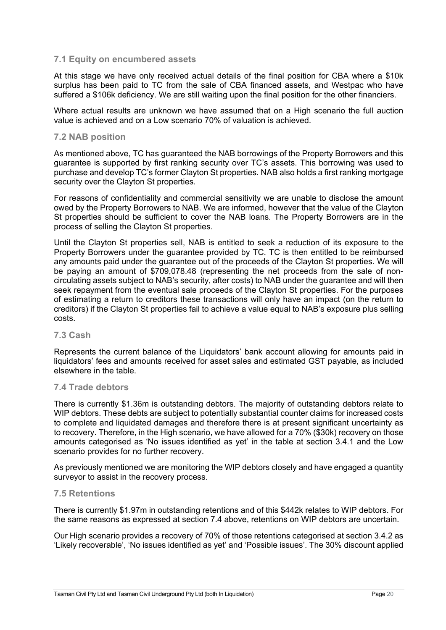#### **7.1 Equity on encumbered assets**

At this stage we have only received actual details of the final position for CBA where a \$10k surplus has been paid to TC from the sale of CBA financed assets, and Westpac who have suffered a \$106k deficiency. We are still waiting upon the final position for the other financiers.

Where actual results are unknown we have assumed that on a High scenario the full auction value is achieved and on a Low scenario 70% of valuation is achieved.

#### **7.2 NAB position**

As mentioned above, TC has guaranteed the NAB borrowings of the Property Borrowers and this guarantee is supported by first ranking security over TC's assets. This borrowing was used to purchase and develop TC's former Clayton St properties. NAB also holds a first ranking mortgage security over the Clayton St properties.

For reasons of confidentiality and commercial sensitivity we are unable to disclose the amount owed by the Property Borrowers to NAB. We are informed, however that the value of the Clayton St properties should be sufficient to cover the NAB loans. The Property Borrowers are in the process of selling the Clayton St properties.

Until the Clayton St properties sell, NAB is entitled to seek a reduction of its exposure to the Property Borrowers under the guarantee provided by TC. TC is then entitled to be reimbursed any amounts paid under the guarantee out of the proceeds of the Clayton St properties. We will be paying an amount of \$709,078.48 (representing the net proceeds from the sale of noncirculating assets subject to NAB's security, after costs) to NAB under the guarantee and will then seek repayment from the eventual sale proceeds of the Clayton St properties. For the purposes of estimating a return to creditors these transactions will only have an impact (on the return to creditors) if the Clayton St properties fail to achieve a value equal to NAB's exposure plus selling costs.

#### **7.3 Cash**

Represents the current balance of the Liquidators' bank account allowing for amounts paid in liquidators' fees and amounts received for asset sales and estimated GST payable, as included elsewhere in the table.

#### **7.4 Trade debtors**

There is currently \$1.36m is outstanding debtors. The majority of outstanding debtors relate to WIP debtors. These debts are subject to potentially substantial counter claims for increased costs to complete and liquidated damages and therefore there is at present significant uncertainty as to recovery. Therefore, in the High scenario, we have allowed for a 70% (\$30k) recovery on those amounts categorised as 'No issues identified as yet' in the table at section 3.4.1 and the Low scenario provides for no further recovery.

As previously mentioned we are monitoring the WIP debtors closely and have engaged a quantity surveyor to assist in the recovery process.

#### **7.5 Retentions**

There is currently \$1.97m in outstanding retentions and of this \$442k relates to WIP debtors. For the same reasons as expressed at section 7.4 above, retentions on WIP debtors are uncertain.

Our High scenario provides a recovery of 70% of those retentions categorised at section 3.4.2 as 'Likely recoverable', 'No issues identified as yet' and 'Possible issues'. The 30% discount applied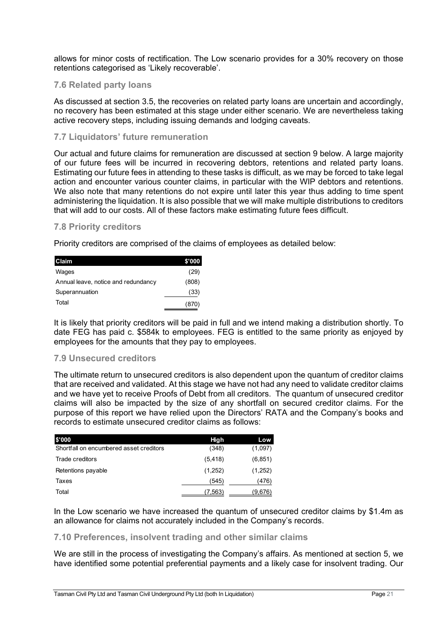allows for minor costs of rectification. The Low scenario provides for a 30% recovery on those retentions categorised as 'Likely recoverable'.

#### **7.6 Related party loans**

As discussed at section 3.5, the recoveries on related party loans are uncertain and accordingly, no recovery has been estimated at this stage under either scenario. We are nevertheless taking active recovery steps, including issuing demands and lodging caveats.

#### **7.7 Liquidators' future remuneration**

Our actual and future claims for remuneration are discussed at section 9 below. A large majority of our future fees will be incurred in recovering debtors, retentions and related party loans. Estimating our future fees in attending to these tasks is difficult, as we may be forced to take legal action and encounter various counter claims, in particular with the WIP debtors and retentions. We also note that many retentions do not expire until later this year thus adding to time spent administering the liquidation. It is also possible that we will make multiple distributions to creditors that will add to our costs. All of these factors make estimating future fees difficult.

#### **7.8 Priority creditors**

Priority creditors are comprised of the claims of employees as detailed below:

| Claim                               | \$'000 |
|-------------------------------------|--------|
| Wages                               | (29)   |
| Annual leave, notice and redundancy | (808)  |
| Superannuation                      | (33)   |
| Total                               | (870)  |

It is likely that priority creditors will be paid in full and we intend making a distribution shortly. To date FEG has paid c. \$584k to employees. FEG is entitled to the same priority as enjoyed by employees for the amounts that they pay to employees.

#### **7.9 Unsecured creditors**

The ultimate return to unsecured creditors is also dependent upon the quantum of creditor claims that are received and validated. At this stage we have not had any need to validate creditor claims and we have yet to receive Proofs of Debt from all creditors. The quantum of unsecured creditor claims will also be impacted by the size of any shortfall on secured creditor claims. For the purpose of this report we have relied upon the Directors' RATA and the Company's books and records to estimate unsecured creditor claims as follows:

| \$'000                                  | High     | Low      |
|-----------------------------------------|----------|----------|
| Shortfall on encumbered asset creditors | (348)    | (1,097)  |
| Trade creditors                         | (5, 418) | (6, 851) |
| Retentions payable                      | (1,252)  | (1,252)  |
| Taxes                                   | (545)    | (476)    |
| Total                                   | (7, 563) | (9,676)  |

In the Low scenario we have increased the quantum of unsecured creditor claims by \$1.4m as an allowance for claims not accurately included in the Company's records.

#### **7.10 Preferences, insolvent trading and other similar claims**

We are still in the process of investigating the Company's affairs. As mentioned at section 5, we have identified some potential preferential payments and a likely case for insolvent trading. Our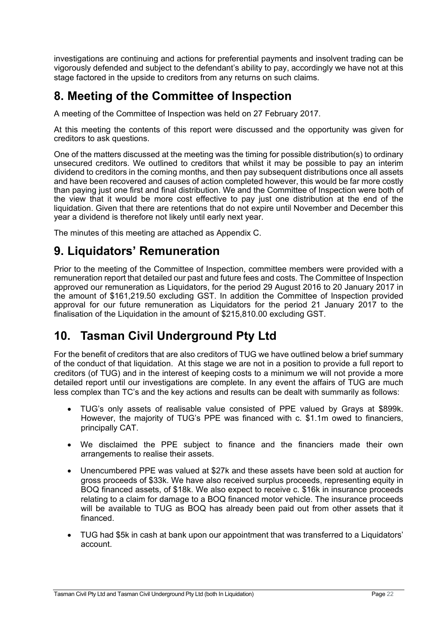investigations are continuing and actions for preferential payments and insolvent trading can be vigorously defended and subject to the defendant's ability to pay, accordingly we have not at this stage factored in the upside to creditors from any returns on such claims.

# **8. Meeting of the Committee of Inspection**

A meeting of the Committee of Inspection was held on 27 February 2017.

At this meeting the contents of this report were discussed and the opportunity was given for creditors to ask questions.

One of the matters discussed at the meeting was the timing for possible distribution(s) to ordinary unsecured creditors. We outlined to creditors that whilst it may be possible to pay an interim dividend to creditors in the coming months, and then pay subsequent distributions once all assets and have been recovered and causes of action completed however, this would be far more costly than paying just one first and final distribution. We and the Committee of Inspection were both of the view that it would be more cost effective to pay just one distribution at the end of the liquidation. Given that there are retentions that do not expire until November and December this year a dividend is therefore not likely until early next year.

The minutes of this meeting are attached as Appendix C.

## **9. Liquidators' Remuneration**

Prior to the meeting of the Committee of Inspection, committee members were provided with a remuneration report that detailed our past and future fees and costs. The Committee of Inspection approved our remuneration as Liquidators, for the period 29 August 2016 to 20 January 2017 in the amount of \$161,219.50 excluding GST. In addition the Committee of Inspection provided approval for our future remuneration as Liquidators for the period 21 January 2017 to the finalisation of the Liquidation in the amount of \$215,810.00 excluding GST.

# **10. Tasman Civil Underground Pty Ltd**

For the benefit of creditors that are also creditors of TUG we have outlined below a brief summary of the conduct of that liquidation. At this stage we are not in a position to provide a full report to creditors (of TUG) and in the interest of keeping costs to a minimum we will not provide a more detailed report until our investigations are complete. In any event the affairs of TUG are much less complex than TC's and the key actions and results can be dealt with summarily as follows:

- TUG's only assets of realisable value consisted of PPE valued by Grays at \$899k. However, the majority of TUG's PPE was financed with c. \$1.1m owed to financiers, principally CAT.
- We disclaimed the PPE subject to finance and the financiers made their own arrangements to realise their assets.
- Unencumbered PPE was valued at \$27k and these assets have been sold at auction for gross proceeds of \$33k. We have also received surplus proceeds, representing equity in BOQ financed assets, of \$18k. We also expect to receive c. \$16k in insurance proceeds relating to a claim for damage to a BOQ financed motor vehicle. The insurance proceeds will be available to TUG as BOQ has already been paid out from other assets that it financed.
- TUG had \$5k in cash at bank upon our appointment that was transferred to a Liquidators' account.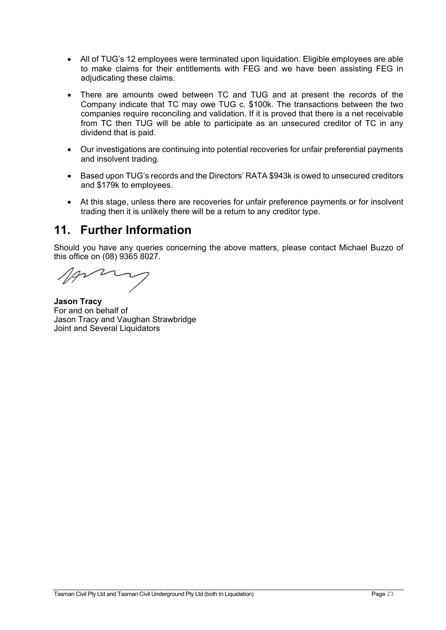- All of TUG's 12 employees were terminated upon liquidation. Eligible employees are able to make claims for their entitlements with FEG and we have been assisting FEG in adjudicating these claims.
- There are amounts owed between TC and TUG and at present the records of the Company indicate that TC may owe TUG c. \$100k. The transactions between the two companies require reconciling and validation. If it is proved that there is a net receivable from TC then TUG will be able to participate as an unsecured creditor of TC in any dividend that is paid.
- Our investigations are continuing into potential recoveries for unfair preferential payments and insolvent trading.
- Based upon TUG's records and the Directors' RATA \$943k is owed to unsecured creditors and \$179k to employees.
- At this stage, unless there are recoveries for unfair preference payments or for insolvent trading then it is unlikely there will be a return to any creditor type.

## **11. Further Information**

Should you have any queries concerning the above matters, please contact Michael Buzzo of this office on (08) 9365 8027.

**Jason Tracy**  For and on behalf of Jason Tracy and Vaughan Strawbridge Joint and Several Liquidators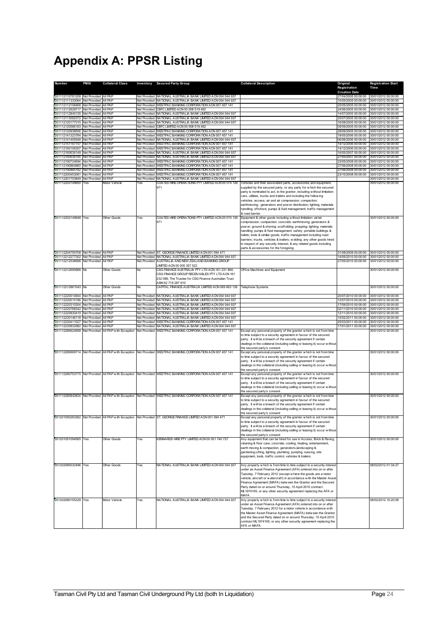# **Appendix A: PPSR Listing**

| Number                                                                       | <b>PMSI</b>                                  | <b>Collateral Class</b>                             |                              | <b>Inventory</b> Secured Party Group                                                                                                                                           | <b>Collateral Description</b>                                                                                                                                                                                                                                                                                                                                                                                                                                                                                                            | Original<br>Registration                    | <b>Registration Start</b><br>Time          |
|------------------------------------------------------------------------------|----------------------------------------------|-----------------------------------------------------|------------------------------|--------------------------------------------------------------------------------------------------------------------------------------------------------------------------------|------------------------------------------------------------------------------------------------------------------------------------------------------------------------------------------------------------------------------------------------------------------------------------------------------------------------------------------------------------------------------------------------------------------------------------------------------------------------------------------------------------------------------------------|---------------------------------------------|--------------------------------------------|
| 201112110781208 Not Provided All PAP                                         |                                              |                                                     |                              | Not Provided NATIONAL AUSTRALIA BANK LIMITED ACN 004 044 937                                                                                                                   |                                                                                                                                                                                                                                                                                                                                                                                                                                                                                                                                          | <b>Creation Date</b><br>27/04/2005 00:00:00 | 30/01/2012 00:00:00                        |
| 201112111333064 Not Provided All PAP                                         |                                              |                                                     |                              | Not Provided NATIONAL AUSTRALIA BANK LIMITED ACN 004 044 937                                                                                                                   |                                                                                                                                                                                                                                                                                                                                                                                                                                                                                                                                          | 10/05/2005 00:00:00                         | 30/01/2012 00:00:00                        |
| 201112112108468 Not Provided All PAP<br>201112112628717 Not Provided All PAP |                                              |                                                     |                              | Not Provided WESTPAC BANKING CORPORATION ACN 007 457 141<br>Not Provided CBFC LIMITED ACN 00 008 519 462                                                                       |                                                                                                                                                                                                                                                                                                                                                                                                                                                                                                                                          | 20/05/2005 00:00:00<br>24/06/2005 00:00:00  | 30/01/2012 00:00:00<br>30/01/2012 00:00:00 |
| 201112112845135 Not Provided All PAP                                         |                                              |                                                     |                              | Not Provided NATIONAL AUSTRALIA BANK LIMITED ACN 004 044 937                                                                                                                   |                                                                                                                                                                                                                                                                                                                                                                                                                                                                                                                                          | 14/07/2005 00:00:00                         | 30/01/2012 00:00:00                        |
| 201112113092372                                                              | Not Provided                                 | AII PAF                                             | Not Provided                 | NATIONAL AUSTRALIA BANK LIMITED ACN 004 044 937<br>NATIONAL AUSTRALIA BANK LIMITED ACN 004 044 937                                                                             |                                                                                                                                                                                                                                                                                                                                                                                                                                                                                                                                          | 25/07/2005 00:00:00                         | 30/01/2012 00:00:00                        |
| 201112120177315<br>201112120586183                                           | Not Provided<br>Not Provided All PAP         | AI PAP                                              | Not Provided                 | Not Provided CBFC LIMITED ACN 00 008 519 462                                                                                                                                   |                                                                                                                                                                                                                                                                                                                                                                                                                                                                                                                                          | 16/08/2005 00:00:00<br>05/09/2005 00:00:00  | 30/01/2012 00:00:00<br>30/01/2012 00:00:00 |
| 201112120938506 Not Provided All PAP                                         |                                              |                                                     |                              | Not Provided WESTPAC BANKING CORPORATION ACN 007 457 141                                                                                                                       |                                                                                                                                                                                                                                                                                                                                                                                                                                                                                                                                          | 29/09/2005 00:00:00                         | 30/01/2012 00:00:00                        |
| 201112141323784 Not Provided All PAP<br>201112141405548 Not Provided All PAP |                                              |                                                     |                              | Not Provided WESTPAC BANKING CORPORATION ACN 007 457 141<br>Not Provided NATIONAL AUSTRALIA BANK LIMITED ACN 004 044 937                                                       |                                                                                                                                                                                                                                                                                                                                                                                                                                                                                                                                          | 19/05/2006 00:00:00<br>06/06/2006 00:00:00  | 30/01/2012 00:00:00<br>30/01/2012 00:00:00 |
| 201112151167707 Not Provided All PAP                                         |                                              |                                                     |                              | Not Provided WESTPAC BANKING CORPORATION ACN 007 457 141                                                                                                                       |                                                                                                                                                                                                                                                                                                                                                                                                                                                                                                                                          | 14/12/2006 00:00:00                         | 30/01/2012 00:00:00                        |
| 201112160106307<br>201112160636149                                           | Not Provided All PAP<br>Not Provided All PAP |                                                     |                              | Not Provided WESTPAC BANKING CORPORATION ACN 007 457 141<br>Not Provided NATIONAL AUSTRALIA BANK LIMITED ACN 004 044 937                                                       |                                                                                                                                                                                                                                                                                                                                                                                                                                                                                                                                          | 14/12/2006 00:00:00<br>16/05/2007 00:00:00  | 30/01/2012 00:00:00<br>30/01/2012 00:00:00 |
| 201112160636165                                                              | Not Provided All PAP                         |                                                     |                              | Not Provided NATIONAL AUSTRALIA BANK LIMITED ACN 004 044 937                                                                                                                   |                                                                                                                                                                                                                                                                                                                                                                                                                                                                                                                                          | 27/05/2007 00:00:00                         | 30/01/2012 00:00:00                        |
| 201112190724694 Not Provided All PAP                                         |                                              |                                                     |                              | Not Provided WESTPAC BANKING CORPORATION ACN 007 457 141                                                                                                                       |                                                                                                                                                                                                                                                                                                                                                                                                                                                                                                                                          | 23/05/2008 00:00:00                         | 30/01/2012 00:00:00                        |
| 201112190864860 Not Provided All PAP<br>201112190865182 Not Provided All PAP |                                              |                                                     |                              | Not Provided WESTPAC BANKING CORPORATION ACN 007 457 141<br>Not Provided WESTPAC BANKING CORPORATION ACN 007 457 141                                                           |                                                                                                                                                                                                                                                                                                                                                                                                                                                                                                                                          | 27/06/2008 00:00:00<br>27/06/2008 00:00:00  | 30/01/2012 00:00:00<br>30/01/2012 00:00:00 |
| 201112200453091 Not Provided                                                 |                                              | All PAF                                             |                              | Not Provided WESTPAC BANKING CORPORATION ACN 007 457 141                                                                                                                       |                                                                                                                                                                                                                                                                                                                                                                                                                                                                                                                                          | 23/10/2008 00:00:00                         | 30/01/2012 00:00:00                        |
| 201112201703849 Not Provided All PAP<br>201112202149850                      | Yes                                          | <b>Vlotor Vehicle</b>                               | Yes                          | Not Provided NATIONAL AUSTRALIA BANK LIMITED ACN 004 044 937<br>COATES HIRE OPERATIONS PTY LIMITED ACN 00 074 126                                                              | Vehicles and their associated parts, accessories and equipment,                                                                                                                                                                                                                                                                                                                                                                                                                                                                          |                                             | 30/01/2012 00:00:00<br>30/01/2012 00:00:00 |
|                                                                              |                                              |                                                     |                              | 971                                                                                                                                                                            | supplied by the secured party, or any party for which the secured<br>party is nominated to act, to the grantor, including without limitation:<br>cars, utilities, trucks and trailers and including the follow ing<br>vehicles: access; air and air compression; compaction;<br>earthmoving; generators and pow er distribution; lighting; materials<br>handling; offshore; pumps & fluid management; traffic management<br>& road barrier.                                                                                              |                                             |                                            |
| 201112202149948 Yes                                                          |                                              | Other Goods                                         | Yes                          | COATES HIRE OPERATIONS PTY LIMITED ACN 00 074 126<br>971                                                                                                                       | Equipment & other goods including without limitation: air/air<br>compression; compaction; concrete; earthmoving; generators &<br>pow er; ground & shoring; scaffolding; propping; lighting; materials<br>handling; pumps & fluid management; safety; portable buildings &<br>toilets; tools & similar goods; traffic management including road<br>barriers; trucks, vehicles & trailers; w elding; any other goods hired<br>in respect of any security interest; & any related goods including<br>parts & accessories for the foregoing. |                                             | 30/01/2012 00:00:00                        |
| 201112204755708 Not Provided All PAP<br>201112212277302 Not Provided All PAP |                                              |                                                     | Not Provided<br>Not Provided | ST. GEORGE FINANCE LIMITED ACN 001 094 471                                                                                                                                     |                                                                                                                                                                                                                                                                                                                                                                                                                                                                                                                                          | 31/08/2009 00:00:00<br>14/05/2010 00:00:00  | 30/01/2012 00:00:00<br>30/01/2012 00:00:00 |
| 201112212536698                                                              | Not Provided All PAP                         |                                                     | Not Provided                 | NATIONAL AUSTRALIA BANK LIMITED ACN 004 044 937<br>AUSTRALIA AND NEW ZEALAND BANKING GROUP                                                                                     |                                                                                                                                                                                                                                                                                                                                                                                                                                                                                                                                          | 27/05/2010 00:00:00                         | 30/01/2012 00:00:00                        |
|                                                                              |                                              |                                                     |                              | MITED ACN 00 005 357 522                                                                                                                                                       |                                                                                                                                                                                                                                                                                                                                                                                                                                                                                                                                          |                                             |                                            |
| 201112212695968 No                                                           |                                              | Other Goods                                         | No                           | CSG FINANCE AUSTRALIA PTY LTD ACN 161 231 894;<br>CSG FINANCE GROUP RECEIVABLES PTY LTD ACN 161<br>232 088; The Trustee for CSG Finance Australian Trust<br>ABN 62 719 287 610 | Office Machines and Equipment                                                                                                                                                                                                                                                                                                                                                                                                                                                                                                            |                                             | 30/01/2012 00:00:00                        |
| 201112212861543 No                                                           |                                              | Other Goods                                         | No                           | CAPITAL FINANCE AUSTRALIA LIMITED ACN 069 663 136                                                                                                                              | Telephone Systems                                                                                                                                                                                                                                                                                                                                                                                                                                                                                                                        |                                             | 30/01/2012 00:00:00                        |
| 201112220014944 Not Provided All PAP                                         |                                              |                                                     |                              | Not Provided NATIONAL AUSTRALIA BANK LIMITED ACN 004 044 937                                                                                                                   |                                                                                                                                                                                                                                                                                                                                                                                                                                                                                                                                          | 20/07/2010 00:00:00                         | 30/01/2012 00:00:00                        |
| 201112220015196 Not Provided All PAP                                         |                                              |                                                     |                              | Not Provided NATIONAL AUSTRALIA BANK LIMITED ACN 004 044 937                                                                                                                   |                                                                                                                                                                                                                                                                                                                                                                                                                                                                                                                                          | 12/07/2010 00:00:00                         | 30/01/2012 00:00:00                        |
| 201112220310304 Not Provided All PAP<br>201112220768342 Not Provided All PAP |                                              |                                                     |                              | Not Provided NATIONAL AUSTRALIA BANK LIMITED ACN 004 044 937<br>Not Provided NATIONAL AUSTRALIA BANK LIMITED ACN 004 044 937                                                   |                                                                                                                                                                                                                                                                                                                                                                                                                                                                                                                                          | 17/09/2010 00:00:00<br>02/11/2010 00:00:00  | 30/01/2012 00:00:00<br>30/01/2012 00:00:00 |
| 201112220830419                                                              | Not Provided                                 | AI PAF                                              | Not Provided                 | NATIONAL AUSTRALIA BANK LIMITED ACN 004 044 937                                                                                                                                |                                                                                                                                                                                                                                                                                                                                                                                                                                                                                                                                          | 12/11/2010 00:00:00                         | 30/01/2012 00:00:00                        |
| 201112230146118 Not Provided<br>201112230411027                              | Not Provided                                 | <b>AI PAP</b><br>AII PAP                            | Not Provided<br>Not Provided | NATIONAL AUSTRALIA BANK LIMITED ACN 004 044 937<br>WESTPAC BANKING CORPORATION ACN 007 457 141                                                                                 |                                                                                                                                                                                                                                                                                                                                                                                                                                                                                                                                          | 15/02/2011 00:00:00<br>25/03/2011 00:00:00  | 30/01/2012 00:00:00<br>30/01/2012 00:00:00 |
| 201112230832982                                                              | Not Provided All PAP                         |                                                     | Not Provided                 | NATIONAL AUSTRALIA BANK LIMITED ACN 004 044 937                                                                                                                                |                                                                                                                                                                                                                                                                                                                                                                                                                                                                                                                                          | 17/01/2011 00:00:00                         | 30/01/2012 00:00:00                        |
|                                                                              |                                              | 201112280624958 Not Provided All PAP with Exception |                              | Not Provided WESTPAC BANKING CORPORATION ACN 007 457 141                                                                                                                       | Except any personal property of the grantor which is not from time<br>to time subject to a security agreement in favour of the secured<br>party. It will be a breach of the security agreement if certain<br>dealings in the collateral (including selling or leasing it) occur without<br>the secured party's consent                                                                                                                                                                                                                   |                                             | 30/01/2012 00:00:00                        |
|                                                                              |                                              |                                                     |                              | 201112280669714 Not Provided All PAP with Exception Not Provided WESTPAC BANKING CORPORATION ACN 007 457 141                                                                   | Except any personal property of the grantor which is not from time<br>to time subject to a security agreement in favour of the secured<br>party. It will be a breach of the security agreement if certain<br>dealings in the collateral (including selling or leasing it) occur without<br>the secured party's consent                                                                                                                                                                                                                   |                                             | 30/01/2012 00:00:00                        |
|                                                                              |                                              |                                                     |                              | 201112280753775 Not Provided All PAP with Exception Not Provided WESTPAC BANKING CORPORATION ACN 007 457 141                                                                   | Except any personal property of the grantor which is not from time<br>to time subject to a security agreement in favour of the secured<br>party. It will be a breach of the security agreement if certain<br>dealings in the collateral (including selling or leasing it) occur without<br>the secured party's consent                                                                                                                                                                                                                   |                                             | 30/01/2012 00:00:00                        |
|                                                                              |                                              |                                                     |                              | 201112280842834 Not Provided All PAP with Exception Not Provided WESTPAC BANKING CORPORATION ACN 007 457 141                                                                   | Except any personal property of the grantor w hich is not from time<br>to time subject to a security agreement in favour of the secured<br>party. It will be a breach of the security agreement if certain<br>dealings in the collateral (including selling or leasing it) occur without<br>the secured party's consent                                                                                                                                                                                                                  |                                             | 30/01/2012 00:00:00                        |
|                                                                              |                                              |                                                     |                              | 201201050263362 Not Provided   All PAP with Exception   Not Provided   ST. GEORGE FINANCE LIMITED ACN 001 094 471                                                              | Except any personal property of the grantor which is not from time<br>to time subject to a security agreement in favour of the secured<br>party. It will be a breach of the security agreement if certain<br>dealings in the collateral (including selling or leasing it) occur without<br>the secured party's consent                                                                                                                                                                                                                   |                                             | 30/01/2012 00:00:00                        |
| 201201051094565 Yes                                                          |                                              | Other Goods                                         | Yes                          | KENNARDS HIRE PTY LIMITED ACN 00 001 740 727                                                                                                                                   | Any equipment that can be hired for use in Access, Brick & Paving,<br>cleaning & floor care, concrete, cooling, heating, entertainment,<br>earth moving & compaction, generators, landscaping &<br>gardening, Lifting, lighting, plumbing, pumping, saw ing, site<br>equipment, tools, traffic control, vehicles & trailers.                                                                                                                                                                                                             |                                             | 30/01/2012 00:00:00                        |
| 201202080032496 Yes                                                          |                                              | Other Goods                                         | Yes                          | NATIONAL AUSTRALIA BANK LIMITED ACN 004 044 937                                                                                                                                | Any property w hich is from time to time subject to a security interest<br>under an Asset Finance Agreement (AFA) entered into on or after<br>Tuesday, 7 February 2012 (except where the goods are a motor<br>vehicle, aircraft or w atercraft) in accordance with the Master Asset<br>Finance Agreement (MAFA) betw een the Grantor and the Secured<br>Party dated on or around Thursday, 15 April 2010 contract<br>ML1974165, or any other security agreement replacing the AFA or<br><b>MAFA</b>                                      |                                             | 08/02/2012 01:34:27                        |
| 201202080155329 Yes                                                          |                                              | Motor Vehicle                                       | Yes                          | NATIONAL AUSTRALIA BANK LIMITED ACN 004 044 937                                                                                                                                | Any property w hich is from time to time subject to a security interest<br>under an Asset Finance Agreement (AFA) entered into on or after<br>Tuesday, 7 February 2012 for a motor vehicle in accordance with<br>the Master Asset Finance Agreement (MAFA) between the Grantor<br>and the Secured Party dated on or around Thursday, 15 April 2010<br>contract ML1974165, or any other security agreement replacing the<br>AFA or MAFA.                                                                                                  |                                             | 08/02/2012 10:20:58                        |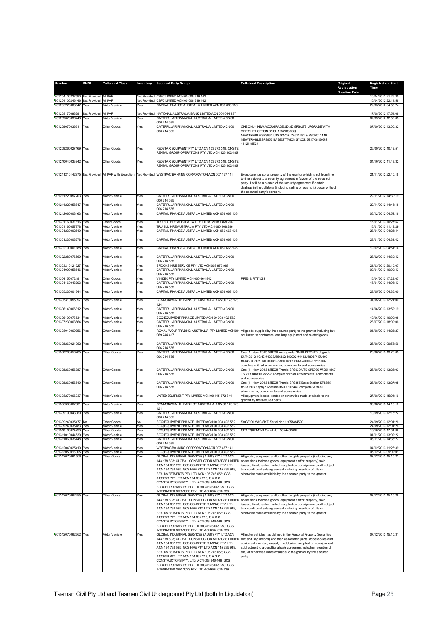| Number                                     | <b>PMSI</b> | <b>Collateral Class</b>      |            | Inventory Secured Party Group                                                                                                                                                                                                                                                                                                                                                                                                                         | <b>Collateral Description</b>                                                                                                                                                                                                                                                                                                                                      | Original                             | <b>Registration Start</b>                  |
|--------------------------------------------|-------------|------------------------------|------------|-------------------------------------------------------------------------------------------------------------------------------------------------------------------------------------------------------------------------------------------------------------------------------------------------------------------------------------------------------------------------------------------------------------------------------------------------------|--------------------------------------------------------------------------------------------------------------------------------------------------------------------------------------------------------------------------------------------------------------------------------------------------------------------------------------------------------------------|--------------------------------------|--------------------------------------------|
|                                            |             |                              |            |                                                                                                                                                                                                                                                                                                                                                                                                                                                       |                                                                                                                                                                                                                                                                                                                                                                    | Registration<br><b>Creation Date</b> | Time                                       |
| 201204100237590 Not Provided All PAP       |             |                              |            | Not Provided CBFC LIMITED ACN 00 008 519 462                                                                                                                                                                                                                                                                                                                                                                                                          |                                                                                                                                                                                                                                                                                                                                                                    |                                      | 10/04/2012 21:26:35                        |
| 201204100246446 Not Provided All PAP       |             |                              |            | Not Provided CBFC LIMITED ACN 00 008 519 462                                                                                                                                                                                                                                                                                                                                                                                                          |                                                                                                                                                                                                                                                                                                                                                                    |                                      | 10/04/2012 22:14:58                        |
| 201205220003642                            | Yes         | Motor Vehicle                | Yes        | CAPITAL FINANCE AUSTRALIA LIMITED ACN 069 663 136                                                                                                                                                                                                                                                                                                                                                                                                     |                                                                                                                                                                                                                                                                                                                                                                    |                                      | 22/05/2012 04:58:24                        |
| 201208170093291 Not Provided All PAP       |             |                              |            | Not Provided NATIONAL AUSTRALIA BANK LIMITED ACN 004 044 937                                                                                                                                                                                                                                                                                                                                                                                          |                                                                                                                                                                                                                                                                                                                                                                    |                                      | 17/08/2012 17:54:08                        |
| 201209070036243                            | Yes         | Motor Vehicle                | Yes        | CATERPILLAR FINANCIAL AUSTRALIA LIMITED ACN 00<br>006 714 585                                                                                                                                                                                                                                                                                                                                                                                         |                                                                                                                                                                                                                                                                                                                                                                    |                                      | 07/09/2012 12:55:05                        |
| 201209070036611                            | Yes         | <b>Other Goods</b>           | Yes        | CATERPILLAR FINANCIAL AUSTRALIA LIMITED ACN 00                                                                                                                                                                                                                                                                                                                                                                                                        | ONE ONLY NEW ACCUGRADE 2D-3D GPS/UTS UPGRADE WITH                                                                                                                                                                                                                                                                                                                  |                                      | 07/09/2012 13:00:32                        |
|                                            |             |                              |            | 006 714 585                                                                                                                                                                                                                                                                                                                                                                                                                                           | SIDE SHIFT OPTION S/NO. 1532J039SQ<br>NEW TRIMBLE SPS930 UTS S/NOS: 72611291 & RS0PC11119<br>NEW TRIMBLE SPS855 BASE STTAION S/NOS: 5217K84505 &<br>1112118524                                                                                                                                                                                                     |                                      |                                            |
| 201209260027169 Yes                        |             | Other Goods                  | Yes        | REDSTAR EQUIPMENT PTY LTD ACN 103 772 318; ONSITE<br>RENTAL GROUP OPERATIONS PTY LTD ACN 126 102 485                                                                                                                                                                                                                                                                                                                                                  |                                                                                                                                                                                                                                                                                                                                                                    |                                      | 26/09/2012 10:49:51                        |
| 201210040033942                            | Yes         | Other Goods                  | Yes        | REDSTAR EQUIPMENT PTY LTD ACN 103 772 318; ONSITE<br>RENTAL GROUP OPERATIONS PTY LTD ACN 126 102 485                                                                                                                                                                                                                                                                                                                                                  |                                                                                                                                                                                                                                                                                                                                                                    |                                      | 04/10/2012 11:48:32                        |
|                                            |             |                              |            | 201211210142975 Not Provided   All PAP with Exception   Not Provided   WESTPAC BANKING CORPORATION ACN 007 457 141                                                                                                                                                                                                                                                                                                                                    | Except any personal property of the grantor w hich is not from time                                                                                                                                                                                                                                                                                                |                                      | 21/11/2012 22:40:18                        |
|                                            |             |                              |            |                                                                                                                                                                                                                                                                                                                                                                                                                                                       | to time subject to a security agreement in favour of the secured<br>party. It will be a breach of the security agreement if certain<br>dealings in the collateral (including selling or leasing it) occur without<br>the secured party's consent.                                                                                                                  |                                      |                                            |
| 201211220057203                            | Yes         | Motor Vehicle                | Yes        | CATERPILLAR FINANCIAL AUSTRALIA LIMITED ACN 00<br>006 714 585                                                                                                                                                                                                                                                                                                                                                                                         |                                                                                                                                                                                                                                                                                                                                                                    |                                      | 22/11/2012 14:30:19                        |
| 201211220058847                            | Yes         | Motor Vehicle                | Yes        | CATERPILLAR FINANCIAL AUSTRALIA LIMITED ACN 00                                                                                                                                                                                                                                                                                                                                                                                                        |                                                                                                                                                                                                                                                                                                                                                                    |                                      | 22/11/2012 14:45:18                        |
| 201212060003463 Yes                        |             | Motor Vehicle                | Yes        | 006 714 585<br>CAPITAL FINANCE AUSTRALIA LIMITED ACN 069 663 136                                                                                                                                                                                                                                                                                                                                                                                      |                                                                                                                                                                                                                                                                                                                                                                    |                                      | 06/12/2012 04:52:16                        |
|                                            |             |                              |            |                                                                                                                                                                                                                                                                                                                                                                                                                                                       |                                                                                                                                                                                                                                                                                                                                                                    |                                      |                                            |
| 201301160031616 Yes<br>201301160057878 Yes |             | Other Goods<br>Motor Vehicle | Yes<br>Yes | TRU BLU HIRE AUSTRALIA PTY LTD ACN 080 468 266<br>TRU BLU HIRE AUSTRALIA PTY LTD ACN 080 468 266                                                                                                                                                                                                                                                                                                                                                      |                                                                                                                                                                                                                                                                                                                                                                    |                                      | 16/01/2013 10:27:52<br>16/01/2013 11:49:29 |
| 201301230002510                            | Yes         | Motor Vehicle                | Yes        | CAPITAL FINANCE AUSTRALIA LIMITED ACN 069 663 136                                                                                                                                                                                                                                                                                                                                                                                                     |                                                                                                                                                                                                                                                                                                                                                                    |                                      | 23/01/2013 04:25:44                        |
| 201301230003278                            | Yes         | Motor Vehicle                | Yes        | CAPITAL FINANCE AUSTRALIA LIMITED ACN 069 663 136                                                                                                                                                                                                                                                                                                                                                                                                     |                                                                                                                                                                                                                                                                                                                                                                    |                                      | 23/01/2013 04:31:42                        |
|                                            |             | <b>Motor Vehicle</b>         | Yes        | CAPITAL FINANCE AUSTRALIA LIMITED ACN 069 663 136                                                                                                                                                                                                                                                                                                                                                                                                     |                                                                                                                                                                                                                                                                                                                                                                    |                                      |                                            |
| 201302190001188                            | Yes         |                              |            |                                                                                                                                                                                                                                                                                                                                                                                                                                                       |                                                                                                                                                                                                                                                                                                                                                                    |                                      | 19/02/2013 04:51:14                        |
| 201302280076569                            | Yes         | Motor Vehicle                | Yes        | CATERPILLAR FINANCIAL AUSTRALIA LIMITED ACN 00<br>006 714 585                                                                                                                                                                                                                                                                                                                                                                                         |                                                                                                                                                                                                                                                                                                                                                                    |                                      | 28/02/2013 14:39:42                        |
| 201303210124527                            | Yes         | Motor Vehicle                | Yes        | BROOKS HIRE SERVICE PTY LTD ACN 008 975 988                                                                                                                                                                                                                                                                                                                                                                                                           |                                                                                                                                                                                                                                                                                                                                                                    |                                      | 21/03/2013 20:10:07                        |
| 201304090058546                            | Yes         | Motor Vehicle                | Yes        | CATERPILLAR FINANCIAL AUSTRALIA LIMITED ACN 00<br>006 714 585                                                                                                                                                                                                                                                                                                                                                                                         |                                                                                                                                                                                                                                                                                                                                                                    |                                      | 09/04/2013 16:09:43                        |
| 201304150072181 Yes<br>201304160043793 Yes |             | Other Goods                  | Yes        | VINIDEX PTY LIMITED ACN 000 664 942                                                                                                                                                                                                                                                                                                                                                                                                                   | PIPES & FITTINGS                                                                                                                                                                                                                                                                                                                                                   |                                      | 15/04/2013 17:29:07                        |
|                                            |             | Motor Vehicle                | Yes        | CATERPILLAR FINANCIAL AUSTRALIA LIMITED ACN 00<br>006 714 585                                                                                                                                                                                                                                                                                                                                                                                         |                                                                                                                                                                                                                                                                                                                                                                    |                                      | 16/04/2013 14:08:43                        |
| 201305230004344                            | Yes         | Motor Vehicle                | Yes        | CAPITAL FINANCE AUSTRALIA LIMITED ACN 069 663 136                                                                                                                                                                                                                                                                                                                                                                                                     |                                                                                                                                                                                                                                                                                                                                                                    |                                      | 23/05/2013 04:35:00                        |
| 201305310055097                            | Yes         | Motor Vehicle                | Yes        | COMMONWEALTH BANK OF AUSTRALIA ACN 00 123 123                                                                                                                                                                                                                                                                                                                                                                                                         |                                                                                                                                                                                                                                                                                                                                                                    |                                      | 31/05/2013 12:21:00                        |
| 201306140066312 Yes                        |             | Motor Vehicle                | Yes        | 124<br>CATERPILLAR FINANCIAL AUSTRALIA LIMITED ACN 00                                                                                                                                                                                                                                                                                                                                                                                                 |                                                                                                                                                                                                                                                                                                                                                                    |                                      | 14/06/2013 13:52:19                        |
| 201306190073531 Yes                        |             | Motor Vehicle                | Yes        | 006 714 585<br>BOQ EQUIPMENT FINANCE LIMITED ACN 00 008 492 582                                                                                                                                                                                                                                                                                                                                                                                       |                                                                                                                                                                                                                                                                                                                                                                    |                                      | 19/06/2013 16:00:08                        |
| 201307230063864                            | Yes         | Motor Vehicle                | Yes        | CATERPILLAR FINANCIAL AUSTRALIA LIMITED ACN 00<br>006 714 585                                                                                                                                                                                                                                                                                                                                                                                         |                                                                                                                                                                                                                                                                                                                                                                    |                                      | 23/07/2013 18:09:06                        |
| 201308010060756 Yes                        |             | <b>Other Goods</b>           | Yes        | 069 244 417                                                                                                                                                                                                                                                                                                                                                                                                                                           | ROYAL WOLF TRADING AUSTRALIA PTY LIMITED ACN 00 All goods supplied by the secured party to the grantor including but<br>not limited to containers, ancillary equipment and related goods.                                                                                                                                                                          |                                      | 01/08/2013 14:23:27                        |
| 201308260021962 Yes                        |             | Motor Vehicle                | Yes        | CATERPILLAR FINANCIAL AUSTRALIA LIMITED ACN 00<br>006 714 585                                                                                                                                                                                                                                                                                                                                                                                         |                                                                                                                                                                                                                                                                                                                                                                    |                                      | 26/08/2013 09:56:56                        |
| 201308260056285                            | Yes         | Other Goods                  | Yes        | CATERPILLAR FINANCIAL AUSTRALIA LIMITED ACN 00                                                                                                                                                                                                                                                                                                                                                                                                        | One (1) New 2013 SITECH Accugrade 2D-3D GPS/UTS Upgrade                                                                                                                                                                                                                                                                                                            |                                      | 26/08/2013 13:25:05                        |
| 201308260056387 Yes                        |             | <b>Other Goods</b>           | Yes        | 006 714 585<br>CATERPILLAR FINANCIAL AUSTRALIA LIMITED ACN 00                                                                                                                                                                                                                                                                                                                                                                                         | SNR420+2.4GHZ #1293J556SQ; MS992 #1483J580SP; EM400<br>#1343J003RY; MT900 #1783H004SR; SNM940 #5316516166<br>complete with all attachments, components and accessories.<br>One (1) New 2013 SITECH Trimple SPS930 UTS SPS930 #72611867                                                                                                                             |                                      | 26/08/2013 13:26:03                        |
|                                            |             |                              |            | 006 714 585                                                                                                                                                                                                                                                                                                                                                                                                                                           | TSC3RD #RSITC38228 complete w ith all attachments, components<br>and accessories.                                                                                                                                                                                                                                                                                  |                                      |                                            |
| 201308260056510                            | Yes         | Other Goods                  | Yes        | CATERPILLAR FINANCIAL AUSTRALIA LIMITED ACN 00<br>006 714 585                                                                                                                                                                                                                                                                                                                                                                                         | One (1) New 2013 SITECH Trimple SPS855 Base Station SPS855<br>#5130603 Zephyr Antenna #5000116480 complete with all<br>attachments, components and accessories.                                                                                                                                                                                                    |                                      | 26/08/2013 13:27:05                        |
| 201308270066037                            | Yes         | Motor Vehicle                | Yes        | UNITED EQUIPMENT PTY LIMITED ACN 00 115 672 841                                                                                                                                                                                                                                                                                                                                                                                                       | All equipment leased, rented or otherw ise made available to the<br>grantor by the secured party                                                                                                                                                                                                                                                                   |                                      | 27/08/2013 15:04:16                        |
| 201308300062301 Yes                        |             | Motor Vehicle                | Yes        | COMMONWEALTH BANK OF AUSTRALIA ACN 00 123 123                                                                                                                                                                                                                                                                                                                                                                                                         |                                                                                                                                                                                                                                                                                                                                                                    |                                      | 30/08/2013 14:10:10                        |
| 201309100043060 Yes                        |             | Motor Vehicle                | Yes        | 124<br>CATERPILLAR FINANCIAL AUSTRALIA LIMITED ACN 00                                                                                                                                                                                                                                                                                                                                                                                                 |                                                                                                                                                                                                                                                                                                                                                                    |                                      | 10/09/2013 12:18:22                        |
| 201309240035477 No                         |             | <b>Other Goods</b>           | No         | 006 714 585<br>BOQ EQUIPMENT FINANCE LIMITED ACN 00 008 492 582                                                                                                                                                                                                                                                                                                                                                                                       | SAGE OILVAC SKID Serial No.: 1105SA4590                                                                                                                                                                                                                                                                                                                            |                                      | 24/09/2013 12:01:26                        |
| 201309240035483                            | Yes         | Motor Vehicle                | Yes        | BOQ EQUIPMENT FINANCE LIMITED ACN 00 008 492 582                                                                                                                                                                                                                                                                                                                                                                                                      |                                                                                                                                                                                                                                                                                                                                                                    |                                      | 24/09/2013 12:01:26                        |
| 201310160074293 Yes<br>201311010044530 Yes |             | Other Goods<br>Motor Vehicle | Yes<br>Yes | BOQ EQUIPMENT FINANCE LIMITED ACN 00 008 492 582<br>BOQ EQUIPMENT FINANCE LIMITED ACN 00 008 492 582                                                                                                                                                                                                                                                                                                                                                  | GPS EQUIPMENT Serial No.: 5324438807                                                                                                                                                                                                                                                                                                                               |                                      | 16/10/2013 17:01:32<br>01/11/2013 13:02:22 |
| 201311060036448 Yes                        |             | Motor Vehicle                | Yes        | CATERPILLAR FINANCIAL AUSTRALIA LIMITED ACN 00<br>006 714 585                                                                                                                                                                                                                                                                                                                                                                                         |                                                                                                                                                                                                                                                                                                                                                                    |                                      | 06/11/2013 14:38:27                        |
| 201312040025410 Yes                        |             | Motor Vehicle                | Yes        | WESTPAC BANKING CORPORATION ACN 007 457 141                                                                                                                                                                                                                                                                                                                                                                                                           |                                                                                                                                                                                                                                                                                                                                                                    |                                      | 04/12/2013 11:26:39                        |
| 201312050018005<br>201312070061506         | Yes<br>Yes  | Motor Vehicle<br>Other Goods | Yes<br>Yes | BOQ EQUIPMENT FINANCE LIMITED ACN 00 008 492 582<br>GLOBAL INDUSTRIAL SERVICES (AUST) PTY LTD ACN                                                                                                                                                                                                                                                                                                                                                     | All goods, equipment and/or other tangible property (including any                                                                                                                                                                                                                                                                                                 |                                      | 05/12/2013 09:02:01<br>07/12/2013 15:10:22 |
|                                            |             |                              |            | 143 178 803; GLOBAL CONSTRUCTION SERVICES LIMITED<br>ACN 104 662 259; GCS CONCRETE PUMPING PTY LTD<br>ACN 134 732 595; GCS HIRE PTY LTD ACN 115 285 919;<br>BFA INVESTMENTS PTY LTD ACN 105 746 656; GCS<br>ACCESS PTY LTD ACN 104 662 213; C.A.S.C.<br>CONSTRUCTIONS PTY. LTD. ACN 008 946 469; GCS<br>BUDGET PORTABLES PTY LTD ACN 128 045 250; GCS<br>INTEGRATED SERVICES PTY LTD ACN 604 010 639                                                  | accessions to those goods, equipment and/or property) sold,<br>leased, hired, rented, bailed, supplied on consignment, sold subject<br>to a conditional sale agreement including retention of title or<br>otherw ise made available by the secured party to the grantor.                                                                                           |                                      |                                            |
| 201312070062295 Yes                        |             | Other Goods                  | Yes        | GLOBAL INDUSTRIAL SERVICES (AUST) PTY LTD ACN<br>143 178 803; GLOBAL CONSTRUCTION SERVICES LIMITED<br>ACN 104 662 259; GCS CONCRETE PUMPING PTY LTD<br>ACN 134 732 595; GCS HIRE PTY LTD ACN 115 285 919;<br>BFA INVESTMENTS PTY LTD ACN 105 746 656; GCS<br>ACCESS PTY LTD ACN 104 662 213; C.A.S.C.<br>CONSTRUCTIONS PTY. LTD. ACN 008 946 469; GCS<br>BUDGET PORTABLES PTY LTD ACN 128 045 250; GCS<br>INTEGRATED SERVICES PTY LTD ACN 604 010 639 | All goods, equipment and/or other tangible property (including any<br>accessions to those goods, equipment and/or property) sold,<br>leased, hired, rented, bailed, supplied on consignment, sold subject<br>to a conditional sale agreement including retention of title or<br>otherw ise made available by the secured party to the grantor.                     |                                      | 07/12/2013 15:10:26                        |
| 201312070062662 Yes                        |             | Motor Vehicle                | Yes        | GLOBAL INDUSTRIAL SERVICES (AUST) PTY LTD ACN<br>143 178 803; GLOBAL CONSTRUCTION SERVICES LIMITED<br>ACN 104 662 259; GCS CONCRETE PUMPING PTY LTD<br>ACN 134 732 595; GCS HIRE PTY LTD ACN 115 285 919;<br>BFA INVESTMENTS PTY LTD ACN 105 746 656; GCS<br>ACCESS PTY LTD ACN 104 662 213; C.A.S.C.<br>CONSTRUCTIONS PTY. LTD. ACN 008 946 469; GCS<br>BUDGET PORTABLES PTY LTD ACN 128 045 250; GCS<br>INTEGRATED SERVICES PTY LTD ACN 604 010 639 | All motor vehicles (as defined in the Personal Property Securities<br>Act and Regulations) and their associated parts, accessories and<br>equipment - rented, leased, hired, bailed, supplied on consignment,<br>sold subject to a conditional sale agreement including retention of<br>title, or otherw ise made available to the grantor by the secured<br>party |                                      | 07/12/2013 15:10:31                        |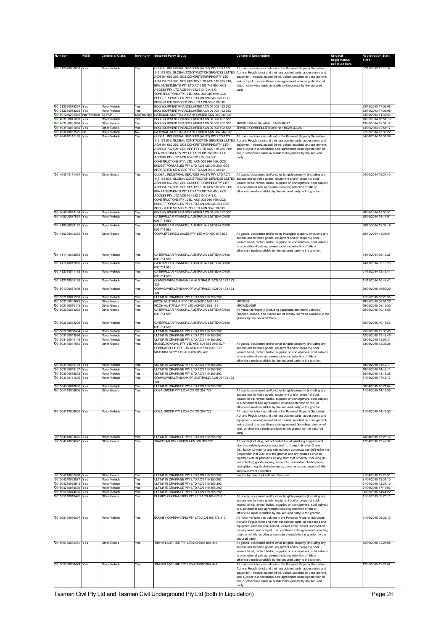| Number                                     | <b>PMSI</b>         | <b>Collateral Class</b>             |                     | Inventory Secured Party Group                                                                        | <b>Collateral Description</b>                                                                                                               | Original<br>Registration | <b>Registration Start</b><br>Time          |
|--------------------------------------------|---------------------|-------------------------------------|---------------------|------------------------------------------------------------------------------------------------------|---------------------------------------------------------------------------------------------------------------------------------------------|--------------------------|--------------------------------------------|
|                                            |                     | Motor Vehicle                       |                     |                                                                                                      |                                                                                                                                             | <b>Creation Date</b>     |                                            |
| 201312070063051 Yes                        |                     |                                     | Yes                 | GLOBAL INDUSTRIAL SERVICES (AUST) PTY LTD ACN<br>143 178 803; GLOBAL CONSTRUCTION SERVICES LIMITED   | All motor vehicles (as defined in the Personal Property Securities<br>Act and Regulations) and their associated parts, accessories and      |                          | 07/12/2013 15:10:34                        |
|                                            |                     |                                     |                     | ACN 104 662 259; GCS CONCRETE PUMPING PTY LTD<br>ACN 134 732 595; GCS HIRE PTY LTD ACN 115 285 919;  | equipment - rented, leased, hired, bailed, supplied on consignment,<br>sold subject to a conditional sale agreement including retention of  |                          |                                            |
|                                            |                     |                                     |                     | BFA INVESTMENTS PTY LTD ACN 105 746 656; GCS<br>ACCESS PTY LTD ACN 104 662 213; C.A.S.C.             | title, or otherw ise made available to the grantor by the secured<br>party                                                                  |                          |                                            |
|                                            |                     |                                     |                     | CONSTRUCTIONS PTY. LTD. ACN 008 946 469; GCS<br>BUDGET PORTABLES PTY LTD ACN 128 045 250; GCS        |                                                                                                                                             |                          |                                            |
| 201312230078264 Yes                        |                     | Motor Vehicle                       | Yes                 | INTEGRATED SERVICES PTY LTD ACN 604 010 639<br>BOQ EQUIPMENT FINANCE LIMITED ACN 00 008 492 582      |                                                                                                                                             |                          | 23/12/2013 17:02:08                        |
| 201312230078272                            | Yes                 | Motor Vehicle                       | Yes                 | BOQ EQUIPMENT FINANCE LIMITED ACN 00 008 492 582                                                     |                                                                                                                                             |                          | 23/12/2013 17:02:08                        |
| 201401240202445<br>201403100041003         | Not Provided<br>Yes | All PAP<br><b>Motor Vehicle</b>     | Not Provided<br>Yes | NATIONAL AUSTRALIA BANK LIMITED ACN 004 044 937<br>BOQ EQUIPMENT FINANCE LIMITED ACN 00 008 492 582  |                                                                                                                                             |                          | 24/01/2014 14:39:56<br>10/03/2014 16:51:10 |
| 201403130031056 Yes<br>201403130031060 Yes |                     | Other Goods<br>Other Goods          | Yes<br>Yes          | BOQ EQUIPMENT FINANCE LIMITED ACN 00 008 492 582<br>BOQ EQUIPMENT FINANCE LIMITED ACN 00 008 492 582 | TRIMBLE BASE Serial No.: 5342K46617<br>TRIMBLE CONTROLLER Serial No.: RS27C43925                                                            |                          | 13/03/2014 12:51:17<br>13/03/2014 12:51:17 |
| 201403270061529<br>201404040111169 Yes     | No                  | Motor Vehicle<br>Motor Vehicle      | No<br>Yes           | NATIONAL AUSTRALIA BANK LIMITED ACN 004 044 937<br>GLOBAL INDUSTRIAL SERVICES (AUST) PTY LTD ACN     | All motor vehicles (as defined in the Personal Property Securities                                                                          |                          | 27/03/2014 15:32:22<br>04/04/2014 18:37:39 |
|                                            |                     |                                     |                     | 143 178 803; GLOBAL CONSTRUCTION SERVICES LIMITED<br>ACN 104 662 259; GCS CONCRETE PUMPING PTY LTD   | Act and Regulations) and their associated parts, accessories and<br>equipment - rented, leased, hired, bailed, supplied on consignment,     |                          |                                            |
|                                            |                     |                                     |                     | ACN 134 732 595: GCS HIRE PTY LTD ACN 115 285 919:<br>BFA INVESTMENTS PTY LTD ACN 105 746 656; GCS   | sold subject to a conditional sale agreement including retention of<br>title, or otherw ise made available to the grantor by the secured    |                          |                                            |
|                                            |                     |                                     |                     | ACCESS PTY LTD ACN 104 662 213; C.A.S.C.                                                             | party                                                                                                                                       |                          |                                            |
|                                            |                     |                                     |                     | CONSTRUCTIONS PTY. LTD. ACN 008 946 469; GCS<br>BUDGET PORTABLES PTY LTD ACN 128 045 250; GCS        |                                                                                                                                             |                          |                                            |
| 201404040111434 Yes                        |                     | Other Goods                         | Yes                 | INTEGRATED SERVICES PTY LTD ACN 604 010 639<br>GLOBAL INDUSTRIAL SERVICES (AUST) PTY LTD ACN         | All goods, equipment and/or other tangible property (including any                                                                          |                          | 04/04/2014 18:37:40                        |
|                                            |                     |                                     |                     | 143 178 803; GLOBAL CONSTRUCTION SERVICES LIMITED<br>ACN 104 662 259; GCS CONCRETE PUMPING PTY LTD   | accessions to those goods, equipment and/or property) sold,<br>leased, hired, rented, bailed, supplied on consignment, sold subject         |                          |                                            |
|                                            |                     |                                     |                     | ACN 134 732 595; GCS HIRE PTY LTD ACN 115 285 919;<br>BFA INVESTMENTS PTY LTD ACN 105 746 656; GCS   | to a conditional sale agreement including retention of title or<br>otherw ise made available by the secured party to the grantor.           |                          |                                            |
|                                            |                     |                                     |                     | ACCESS PTY LTD ACN 104 662 213; C.A.S.C.<br>CONSTRUCTIONS PTY. LTD. ACN 008 946 469; GCS             |                                                                                                                                             |                          |                                            |
|                                            |                     |                                     |                     | BUDGET PORTABLES PTY LTD ACN 128 045 250; GCS                                                        |                                                                                                                                             |                          |                                            |
| 201404280043154 Yes                        |                     | Motor Vehicle                       | Yes                 | INTEGRATED SERVICES PTY LTD ACN 604 010 639<br>BOQ EQUIPMENT FINANCE LIMITED ACN 00 008 492 582      |                                                                                                                                             |                          | 28/04/2014 13:50:31                        |
| 201405300077861 Yes                        |                     | Motor Vehicle                       | Yes                 | CATERPILLAR FINANCIAL AUSTRALIA LIMITED ACN 00<br>006 714 585                                        |                                                                                                                                             |                          | 30/05/2014 14:44:01                        |
| 201410090028150                            | Yes                 | Motor Vehicle                       | Yes                 | CATERPILLAR FINANCIAL AUSTRALIA LIMITED ACN 00<br>006 714 585                                        |                                                                                                                                             |                          | 09/10/2014 12:38:19                        |
| 201410290042352 Yes                        |                     | Other Goods                         | Yes                 | COMPLETE HIRE & SALES PTY LTD ACN 090 519 823                                                        | All goods, equipment and/or other intangible property (including any<br>accessions to those goods, equipment and/or property) sold,         |                          | 29/10/2014 13:36:54                        |
|                                            |                     |                                     |                     |                                                                                                      | leased, hired, rented, bailed, supplied on consignment, sold subject<br>to a conditional sale agreement including retention of title or     |                          |                                            |
|                                            |                     |                                     |                     |                                                                                                      | otherw ise made available by the secured party to the grantor.                                                                              |                          | 14/11/2014 09:19:25                        |
| 201411140012885 Yes                        |                     | Motor Vehicle                       | Yes                 | CATERPILLAR FINANCIAL AUSTRALIA LIMITED ACN 00<br>006 714 585                                        |                                                                                                                                             |                          |                                            |
| 201411140012892 Yes                        |                     | Motor Vehicle                       | Yes                 | CATERPILLAR FINANCIAL AUSTRALIA LIMITED ACN 00<br>006 714 585                                        |                                                                                                                                             |                          | 14/11/2014 09:19:26                        |
| 201412010041183 Yes                        |                     | Motor Vehicle                       | Yes                 | CATERPILLAR FINANCIAL AUSTRALIA LIMITED ACN 00<br>006 714 585                                        |                                                                                                                                             |                          | 01/12/2014 12:43:44                        |
| 201412110065169 Yes                        |                     | Motor Vehicle                       | Yes                 | COMMONWEALTH BANK OF AUSTRALIA ACN 00 123 123<br>124                                                 |                                                                                                                                             |                          | 11/12/2014 16:42:41                        |
| 201501290077008 Yes                        |                     | Motor Vehicle                       | Yes                 | COMMONWEALTH BANK OF AUSTRALIA ACN 00 123 123<br>124                                                 |                                                                                                                                             |                          | 29/01/2015 16:56:29                        |
| 201502110041357<br>201502160002679 Yes     | Yes                 | Motor Vehicle<br><b>Other Goods</b> | Yes<br>Yes          | ULTIMATE DRAINAGE PTY LTD ACN 110 355 292<br>RICOH AUSTRALIA PTY LTD ACN 000 593 171                 | <b>MPC3503</b>                                                                                                                              |                          | 11/02/2015 13:29:55<br>16/02/2015 08:58:26 |
| 201502190010116<br>201502250014282 Yes     | Yes                 | Other Goods<br><b>Other Goods</b>   | Yes<br>Yes          | RICOH AUSTRALIA PTY LTD ACN 000 593 171<br>CATERPILLAR FINANCIAL AUSTRALIA LIMITED ACN 00            | MPCW2200SF<br>All Personal Property (including equipment and motor vehicles)                                                                |                          | 19/02/2015 09:16:50<br>25/02/2015 10:14:55 |
|                                            |                     |                                     |                     | 006 714 585                                                                                          | financed, leased, hire purchased or otherw ise made available to the<br>grantor by the Secured Party.                                       |                          |                                            |
| 201502250014295                            | Yes                 | Motor Vehicle                       | Yes                 | CATERPILLAR FINANCIAL AUSTRALIA LIMITED ACN 00<br>006 714 585                                        |                                                                                                                                             |                          | 25/02/2015 10:14:56                        |
| 201502250050484 Yes<br>201503120043596 Yes |                     | Motor Vehicle<br>Motor Vehicle      | Yes<br>Yes          | ULTIMATE DRAINAGE PTY LTD ACN 110 355 292<br>ULTIMATE DRAINAGE PTY LTD ACN 110 355 292               |                                                                                                                                             |                          | 25/02/2015 12:30:45<br>12/03/2015 13:48:46 |
| 201503120044116<br>201503130041969         | Yes<br>Yes          | Motor Vehicle<br>Other Goods        | Yes<br>Yes          | ULTIMATE DRAINAGE PTY LTD ACN 110 355 292<br>BUSSELTON CIVIL PTY LTD ACN 601 554 956; BCF            | All goods, equipment and/or other tangible property (including any                                                                          |                          | 12/03/2015 13:54:31<br>13/03/2015 12:36:28 |
|                                            |                     |                                     |                     | CONTRACTORS PTY LTD ACN 602 859 405; BCP<br>MATERIALS PTY LTD ACN 602 859 496                        | accessions to those goods, equipment and/or property) sold,<br>leased, hired, rented, bailed, supplied on consignment, sold subject         |                          |                                            |
|                                            |                     |                                     |                     |                                                                                                      | to a conditional sale agreement including retention of title or<br>otherw ise made available by the secured party to the grantor.           |                          |                                            |
| 201503180049104 Yes<br>201503180049127 Yes |                     | Motor Vehicle<br>Motor Vehicle      | Yes<br>Yes          | ULTIMATE DRAINAGE PTY LTD ACN 110 355 292<br>ULTIMATE DRAINAGE PTY LTD ACN 110 355 292               |                                                                                                                                             |                          | 18/03/2015 14:42:11<br>18/03/2015 14:42:11 |
| 201503300088529 Yes<br>201503310111606     | Yes                 | Motor Vehicle<br>Motor Vehicle      | Yes<br>Yes          | ULTIMATE DRAINAGE PTY LTD ACN 110 355 292<br>COMMONWEALTH BANK OF AUSTRALIA ACN 00 123 123           |                                                                                                                                             |                          | 30/03/2015 18:46:28<br>31/03/2015 17:46:17 |
| 201504080048002 Yes                        |                     | Motor Vehicle                       | Yes                 | 124<br>ULTIMATE DRAINAGE PTY LTD ACN 110 355 292                                                     |                                                                                                                                             |                          | 08/04/2015 15:21:04                        |
| 201504110008655 Yes                        |                     | <b>Other Goods</b>                  | Yes                 | COSA GROUP PTY LTD ACN 131 257 728                                                                   | All goods, equipment and/or other tangible property (including any<br>accessions to those goods, equipment and/or property) sold,           |                          | 11/04/2015 14:18:55                        |
|                                            |                     |                                     |                     |                                                                                                      | leased, hired, rented, bailed, supplied on consignment, sold subject                                                                        |                          |                                            |
|                                            |                     |                                     |                     |                                                                                                      | to a conditional sale agreement (including retention of title) or<br>otherw ise made available by the secured party to the grantor.         |                          |                                            |
| 201504110009005 Yes                        |                     | Motor Vehicle                       | Yes                 | COSA GROUP PTY LTD ACN 131 257 728                                                                   | All motor vehicles (as defined in the Personal Property Securities<br>Act and Regulations) and their associated parts, accessories and      |                          | 11/04/2015 14:41:53                        |
|                                            |                     |                                     |                     |                                                                                                      | equipment - rented, leased, hired, bailed, supplied on consignment,<br>sold subject to a conditional sale agreement (including retention of |                          |                                            |
|                                            |                     |                                     |                     |                                                                                                      | title), or otherw ise made available to the grantor by the secured<br>party.                                                                |                          |                                            |
| 201504140033676 Yes<br>201504170054520 Yes |                     | Motor Vehicle<br>Other Goods        | Yes<br>Yes          | ULTIMATE DRAINAGE PTY LTD ACN 110 355 292<br>TRADELINK PTY LIMITED ACN 000 003 832                   | All goods (including, but not limited to), all plumbing supplies and                                                                        |                          | 14/04/2015 13:23:12<br>17/04/2015 13:42:32 |
|                                            |                     |                                     |                     |                                                                                                      | plumbing related products supplied from time to time by Crane<br>Distribution Limited (or any related body corporate (as defined in the     |                          |                                            |
|                                            |                     |                                     |                     |                                                                                                      | Corporation Act 2001)) to the grantor and any related services,<br>together with all proceeds arising from that property, including (but    |                          |                                            |
|                                            |                     |                                     |                     |                                                                                                      | not limited to) goods, money, accounts receivable, chattel paper,<br>intangibles, negotiable instruments, documents, documents of title     |                          |                                            |
| 201504210032498 Yes                        |                     | Other Goods                         | Yes                 | ULTIMATE DRAINAGE PTY LTD ACN 110 355 292                                                            | and investment securities<br>Invoice for hire of Goods and Services                                                                         |                          | 21/04/2015 12:29:51                        |
| 201504210032887 Yes<br>201504210032915 Yes |                     | Motor Vehicle<br>Motor Vehicle      | Yes                 | ULTIMATE DRAINAGE PTY LTD ACN 110 355 292<br>ULTIMATE DRAINAGE PTY LTD ACN 110 355 292               |                                                                                                                                             |                          | 21/04/2015 12:34:10<br>21/04/2015 12:34:10 |
| 201504210064692 Yes<br>201505060044639 Yes |                     | Motor Vehicle<br>Motor Vehicle      | Yes<br>Yes<br>Yes   | ULTIMATE DRAINAGE PTY LTD ACN 110 355 292<br>ULTIMATE DRAINAGE PTY LTD ACN 110 355 292               |                                                                                                                                             |                          | 21/04/2015 17:13:06<br>06/05/2015 14:44:22 |
| 201505110010479 Yes                        |                     | Other Goods                         | Yes                 | BUCKBY CONTRACTING PTY LTD ACN 106 876 313                                                           | All goods, equipment and/or other tangible property (including any                                                                          |                          | 11/05/2015 09:23:11                        |
|                                            |                     |                                     |                     |                                                                                                      | accessions to those goods, equipment and/or property) sold,<br>leased, hired, rented, bailed, supplied on consignment, sold subject         |                          |                                            |
|                                            |                     |                                     |                     |                                                                                                      | to a conditional sale agreement including retention of title or<br>otherw ise made available by the secured party to the grantor.           |                          |                                            |
| 201505110010507 Yes                        |                     | Motor Vehicle                       | Yes                 | BUCKBY CONTRACTING PTY LTD ACN 106 876 313                                                           | All motor vehicles (as defined in the Personal Property Securities<br>Act and Regulations) and their assosiated parts, accessories and      |                          | 11/05/2015 09:23:13                        |
|                                            |                     |                                     |                     |                                                                                                      | equipment (accessions) rented, leased, hired, bailed, supplied on<br>consignment, sold subject to a conditional sale agreement including    |                          |                                            |
|                                            |                     |                                     |                     |                                                                                                      | retention of title, or otherw ise made avaliable to the grantor by the<br>secured party                                                     |                          |                                            |
| 201505120036461 Yes                        |                     | Other Goods                         | Yes                 | TITAN PLANT HIRE PTY LTD ACN 095 884 441                                                             | All goods, equipment and/or other tangible property (including any<br>accessions to those goods, equipment and/or property) sold,           |                          | 12/05/2015 12:27:05                        |
|                                            |                     |                                     |                     |                                                                                                      | leased, hired, rented, bailed, supplied on consignment, sold subject<br>to a conditional sale agreement including retention of title or     |                          |                                            |
|                                            |                     | Motor Vehicle                       |                     | TITAN PLANT HIRE PTY LTD ACN 095 884 441                                                             | otherw ise made available by the secured party to the grantor.                                                                              |                          |                                            |
| 201505120036474 Yes                        |                     |                                     | Yes                 |                                                                                                      | All motor vehicles (as defined in the Personal Property Securities<br>Act and Regulations) and their associated parts, accessories and      |                          | 12/05/2015 12:27:07                        |
|                                            |                     |                                     |                     |                                                                                                      | equipment - rented, leased, hired, bailed, supplied on consignment,<br>sold subject to a conditional sale agreement including retention of  |                          |                                            |
|                                            |                     |                                     |                     |                                                                                                      | title, or otherw ise made available to the grantor by the secured<br>party                                                                  |                          |                                            |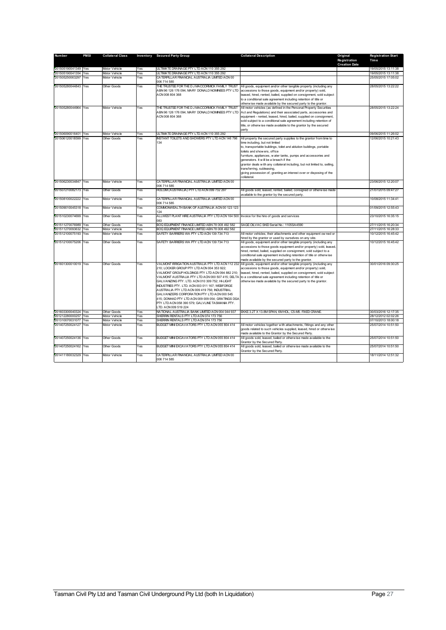| Number              | <b>PMSI</b> | <b>Collateral Class</b> |     | Inventory Secured Party Group                                                                       | <b>Collateral Description</b>                                                                                                          | Original                             | <b>Registration Start</b> |
|---------------------|-------------|-------------------------|-----|-----------------------------------------------------------------------------------------------------|----------------------------------------------------------------------------------------------------------------------------------------|--------------------------------------|---------------------------|
|                     |             |                         |     |                                                                                                     |                                                                                                                                        | Registration<br><b>Creation Date</b> | Time                      |
| 201505190041349 Yes |             | Motor Vehicle           | Yes | ULTIMATE DRAINAGE PTY LTD ACN 110 355 292                                                           |                                                                                                                                        |                                      | 19/05/2015 13:11:38       |
| 201505190041354     | Yes         | <b>Motor Vehicle</b>    | Yes | ULTIMATE DRAINAGE PTY LTD ACN 110 355 292                                                           |                                                                                                                                        |                                      | 19/05/2015 13:11:38       |
| 201505250063297     | Yes         | Motor Vehicle           | Yes | CATERPILLAR FINANCIAL AUSTRALIA LIMITED ACN 00                                                      |                                                                                                                                        |                                      | 25/05/2015 17:05:02       |
|                     |             |                         |     | 006 714 585                                                                                         |                                                                                                                                        |                                      |                           |
| 201505280044843 Yes |             | Other Goods             | Yes | THE TRUSTEE FOR THE D J MACCORMICK FAMILY TRUST<br>ABN 96 126 176 094; MARY DONALD NOMINEES PTY LTD | All goods, equipment and/or other tangible property (including any<br>accessions to those goods, equipment and/or property) sold,      |                                      | 28/05/2015 13:22:22       |
|                     |             |                         |     | ACN 008 804 368                                                                                     | leased, hired, rented, bailed, supplied on consignment, sold subject                                                                   |                                      |                           |
|                     |             |                         |     |                                                                                                     | to a conditional sale agreement including retention of title or                                                                        |                                      |                           |
| 201505280044964 Yes |             |                         |     |                                                                                                     | otherw ise made available by the secured party to the grantor.                                                                         |                                      |                           |
|                     |             | Motor Vehicle           | Yes | THE TRUSTEE FOR THE D J MACCORMICK FAMILY TRUST<br>ABN 96 126 176 094; MARY DONALD NOMINEES PTY LTD | All motor vehicles (as defined in the Personal Property Securities<br>Act and Regulations) and their associated parts, accessories and |                                      | 28/05/2015 13:22:24       |
|                     |             |                         |     | ACN 008 804 368                                                                                     | equipment - rented, leased, hired, bailed, supplied on consignment,                                                                    |                                      |                           |
|                     |             |                         |     |                                                                                                     | sold subject to a conditional sale agreement including retention of                                                                    |                                      |                           |
|                     |             |                         |     |                                                                                                     | title, or otherw ise made available to the grantor by the secured                                                                      |                                      |                           |
|                     |             |                         |     |                                                                                                     | party                                                                                                                                  |                                      |                           |
| 201506090016401 Yes |             | Motor Vehicle           | Yes | ULTIMATE DRAINAGE PTY LTD ACN 110 355 292                                                           |                                                                                                                                        |                                      | 09/06/2015 11:26:02       |
| 201506120018599 Yes |             | Other Goods             | Yes | INSTANT TOILETS AND SHOWERS PTY LTD ACN 146 796                                                     | All property the secured party supplies to the grantor from time to                                                                    |                                      | 12/06/2015 10:21:43       |
|                     |             |                         |     | 134                                                                                                 | time including, but not limited                                                                                                        |                                      |                           |
|                     |             |                         |     |                                                                                                     | to, transportable buildings, toilet and ablution buildings, portable                                                                   |                                      |                           |
|                     |             |                         |     |                                                                                                     | toilets and show ers, office                                                                                                           |                                      |                           |
|                     |             |                         |     |                                                                                                     | furniture, appliances, w ater tanks, pumps and accessories and                                                                         |                                      |                           |
|                     |             |                         |     |                                                                                                     | generators. It will be a breach if the<br>grantor deals with any collateral including, but not limited to, selling,                    |                                      |                           |
|                     |             |                         |     |                                                                                                     | transferring, subleasing,                                                                                                              |                                      |                           |
|                     |             |                         |     |                                                                                                     | giving possession of, granting an interest over or disposing of the                                                                    |                                      |                           |
|                     |             |                         |     |                                                                                                     | collateral.                                                                                                                            |                                      |                           |
| 201506230034847     | Yes         | Motor Vehicle           | Yes | CATERPILLAR FINANCIAL AUSTRALIA LIMITED ACN 00<br>006 714 585                                       |                                                                                                                                        |                                      | 23/06/2015 12:20:07       |
| 201507210082173 Yes |             | Other Goods             | Yes | HOLCIM (AUSTRALIA) PTY LTD ACN 099 732 297                                                          | All goods sold, leased, rented, bailed, consigned or otherwise made                                                                    |                                      | 21/07/2015 09:47:27       |
|                     |             |                         |     |                                                                                                     | available to the grantor by the secured party                                                                                          |                                      |                           |
| 201508100022222 Yes |             | Motor Vehicle           | Yes | CATERPILLAR FINANCIAL AUSTRALIA LIMITED ACN 00<br>006 714 585                                       |                                                                                                                                        |                                      | 10/08/2015 11:34:41       |
| 201509010045318     | Yes         | Motor Vehicle           | Yes | COMMONWEALTH BANK OF AUSTRALIA ACN 00 123 123                                                       |                                                                                                                                        |                                      | 01/09/2015 12:55:43       |
|                     |             |                         |     | 124                                                                                                 |                                                                                                                                        |                                      |                           |
| 201510230074699     | Yes         | Other Goods             | Yes | ALLWEST PLANT HIRE AUSTRALIA PTY LTD ACN 164 500 Invoice for the hire of goods and services<br>083  |                                                                                                                                        |                                      | 23/10/2015 16:35:15       |
| 201511270076989     | Yes         | <b>Other Goods</b>      | Yes | BOQ EQUIPMENT FINANCE LIMITED ABN 78 008 492 582                                                    | SAGE OILVAC SKID Serial No.: 1105SA4590                                                                                                |                                      | 27/11/2015 16:20:34       |
| 201511270093632     | Yes         | <b>Motor Vehicle</b>    | Yes | BOQ EQUIPMENT FINANCE LIMITED ABN 78 008 492 582                                                    |                                                                                                                                        |                                      | 27/11/2015 16:28:33       |
| 201512100075193     | Yes         | Motor Vehicle           | Yes | SAFETY BARRIERS WA PTY LTD ACN 139 734 713                                                          | All motor vehicles, their attachments and other equipment ow ned or                                                                    |                                      | 10/12/2015 16:45:42       |
|                     |             |                         |     |                                                                                                     | hired by the grantor or used by ourselves on any site.                                                                                 |                                      |                           |
| 201512100075206 Yes |             | Other Goods             | Yes | SAFETY BARRIERS WA PTY LTD ACN 139 734 713                                                          | All goods, equipment and/or other tangible property (including any                                                                     |                                      | 10/12/2015 16:45:42       |
|                     |             |                         |     |                                                                                                     | accessions to those goods equipment and/or property) sold, leased,                                                                     |                                      |                           |
|                     |             |                         |     |                                                                                                     | hired, rented, bailed, supplied on consignment, sold subject to a                                                                      |                                      |                           |
|                     |             |                         |     |                                                                                                     | conditional sale agreement including retention of title or otherwise<br>made available by the secured party to the grantor.            |                                      |                           |
| 201601300010019 Yes |             | Other Goods             | Yes | VALMONT IRRIGATION AUSTRALIA PTY LTD ACN 112 232                                                    | All goods, equipment and/or other tangible property (including any                                                                     |                                      | 30/01/2016 09:30:25       |
|                     |             |                         |     | 210; LOCKER GROUP PTY LTD ACN 004 353 922;                                                          | accessions to those goods, equipment and/or property) sold,                                                                            |                                      |                           |
|                     |             |                         |     | VALMONT GROUP HOLDINGS PTY LTD ACN 094 882 210:                                                     | leased, hired, rented, bailed, supplied on consignment, sold subject                                                                   |                                      |                           |
|                     |             |                         |     |                                                                                                     | VALMONT AUSTRALIA PTY LTD ACN 000 507 415; DELTA to a conditional sale agreement including retention of title or                       |                                      |                           |
|                     |             |                         |     | GALVANIZING PTY. LTD. ACN 010 309 752; HI-LIGHT                                                     | otherw ise made available by the secured party to the grantor.                                                                         |                                      |                           |
|                     |             |                         |     | INDUSTRIES PTY. LTD. ACN 003 011 167; WEBFORGE                                                      |                                                                                                                                        |                                      |                           |
|                     |             |                         |     | AUSTRALIA PTY LTD ACN 009 419 756; INDUSTRIAL                                                       |                                                                                                                                        |                                      |                           |
|                     |             |                         |     | GALVANIZERS CORPORATION PTY LTD ACN 000 545<br>415; DONHAD PTY LTD ACN 009 009 054; GRATINGS DGA    |                                                                                                                                        |                                      |                           |
|                     |             |                         |     | PTY LTD ACN 058 390 579; GALVLINE TASMANIA PTY.                                                     |                                                                                                                                        |                                      |                           |
|                     |             |                         |     | LTD. ACN 009 519 224                                                                                |                                                                                                                                        |                                      |                           |
| 201603300040324 Yes |             | <b>Other Goods</b>      | Yes | NATIONAL AUSTRALIA BANK LIMITED ACN 004 044 937                                                     | EKKE 3.2T X 13.8M SPAN, 6M HOL, C5-M5. FIXED CRANE.                                                                                    |                                      | 30/03/2016 12:17:35       |
| 201212280000257 Yes |             | <b>Vlotor Vehicle</b>   | Yes | SHERRIN RENTALS PTY LTD ACN 074 173 756                                                             |                                                                                                                                        |                                      | 28/12/2012 02:02:26       |
| 201310070031077     | Yes         | Motor Vehicle           | Yes | SHERRIN RENTALS PTY LTD ACN 074 173 756                                                             |                                                                                                                                        |                                      | 07/10/2013 18:00:18       |
| 201407250024127     | Yes         | Motor Vehicle           | Yes | BUDGET MINI EXCAVATORS PTY LTD ACN 055 804 414                                                      | All motor vehicles together with attachments, fittings and any other                                                                   |                                      | 25/07/2014 10:51:50       |
|                     |             |                         |     |                                                                                                     | goods related to such vehicles supplied, leased, hired or otherwise                                                                    |                                      |                           |
|                     |             |                         |     |                                                                                                     | made available to the Grantor by the Secured Party.                                                                                    |                                      |                           |
| 201407250024136 Yes |             | Other Goods             | Yes | BUDGET MINI EXCAVATORS PTY LTD ACN 055 804 414                                                      | All goods sold, leased, bailed or otherwise made available to the                                                                      |                                      | 25/07/2014 10:51:50       |
| 201407250024162 Yes |             | Other Goods             | Yes | BUDGET MINI EXCAVATORS PTY LTD ACN 055 804 414                                                      | Grantor by the Secured Party.<br>All goods sold, leased, bailed or otherw ise made available to the                                    |                                      | 25/07/2014 10:51:50       |
|                     |             |                         |     |                                                                                                     | Grantor by the Secured Party.                                                                                                          |                                      |                           |
| 201411180032329 Yes |             | Motor Vehicle           | Yes | CATERPILLAR FINANCIAL AUSTRALIA LIMITED ACN 00                                                      |                                                                                                                                        |                                      | 18/11/2014 12:51:32       |
|                     |             |                         |     | 006 714 585                                                                                         |                                                                                                                                        |                                      |                           |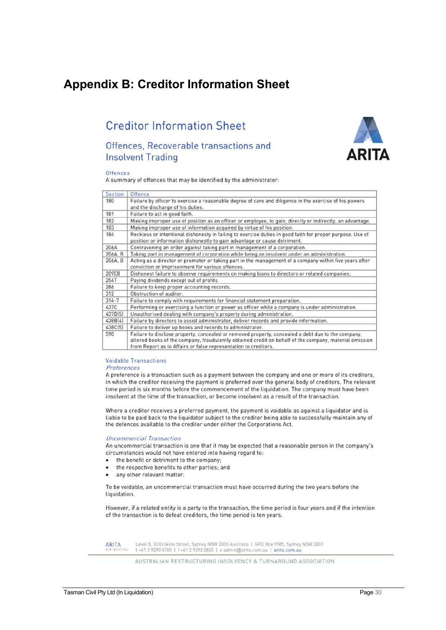## **Appendix B: Creditor Information Sheet**

## **Creditor Information Sheet**

## Offences, Recoverable transactions and **Insolvent Trading**



#### Offences

A summary of offences that may be identified by the administrator:

| <b>Section</b> | Offence                                                                                                                                                                                                                                                                        |
|----------------|--------------------------------------------------------------------------------------------------------------------------------------------------------------------------------------------------------------------------------------------------------------------------------|
| 180            | Failure by officer to exercise a reasonable degree of care and diligence in the exercise of his powers<br>and the discharge of his duties.                                                                                                                                     |
| 181            | Failure to act in good faith.                                                                                                                                                                                                                                                  |
| 182            | Making improper use of position as an officer or employee, to gain, directly or indirectly, an advantage.                                                                                                                                                                      |
| 183            | Making improper use of information acquired by virtue of his position.                                                                                                                                                                                                         |
| 184            | Reckless or intentional dishonesty in failing to exercise duties in good faith for proper purpose. Use of<br>position or information dishonestly to gain advantage or cause detriment.                                                                                         |
| 206A           | Contravening an order against taking part in management of a corporation.                                                                                                                                                                                                      |
| 206A, B        | Taking part in management of corporation while being an insolvent under an administration.                                                                                                                                                                                     |
| 206A, B        | Acting as a director or promoter or taking part in the management of a company within five years after<br>conviction or imprisonment for various offences.                                                                                                                     |
| 209[3]         | Dishonest failure to observe requirements on making loans to directors or related companies.                                                                                                                                                                                   |
| 254T           | Paying dividends except out of profits.                                                                                                                                                                                                                                        |
| 286            | Failure to keep proper accounting records.                                                                                                                                                                                                                                     |
| 312            | Obstruction of auditor.                                                                                                                                                                                                                                                        |
| $314 - 7$      | Failure to comply with requirements for financial statement preparation.                                                                                                                                                                                                       |
| 437C           | Performing or exercising a function or power as officer while a company is under administration.                                                                                                                                                                               |
| 437D[5]        | Unauthorised dealing with company's property during administration.                                                                                                                                                                                                            |
| 438B[4]        | Failure by directors to assist administrator, deliver records and provide information.                                                                                                                                                                                         |
| 438C(5)        | Failure to deliver up books and records to administrator.                                                                                                                                                                                                                      |
| 590            | Failure to disclose property, concealed or removed property, concealed a debt due to the company,<br>altered books of the company, fraudulently obtained credit on behalf of the company, material omission<br>from Report as to Affairs or false representation to creditors. |

#### **Voidable Transactions**

Preferences

A preference is a transaction such as a payment between the company and one or more of its creditors, in which the creditor receiving the payment is preferred over the general body of creditors. The relevant time period is six months before the commencement of the liquidation. The company must have been insolvent at the time of the transaction, or become insolvent as a result of the transaction.

Where a creditor receives a preferred payment, the payment is voidable as against a liquidator and is liable to be paid back to the liquidator subject to the creditor being able to successfully maintain any of the defences available to the creditor under either the Corporations Act.

#### **Uncommercial Transaction**

An uncommercial transaction is one that it may be expected that a reasonable person in the company's circumstances would not have entered into having regard to:

- the benefit or detriment to the company;
- the respective benefits to other parties; and
- any other relevant matter.

To be voidable, an uncommercial transaction must have occurred during the two years before the liquidation.

However, if a related entity is a party to the transaction, the time period is four years and if the intention of the transaction is to defeat creditors, the time period is ten years.

**ARITA** 

Level 5, 33 Erskine Street, Sydney NSW 2000 Australia | GPO Box 9985, Sydney NSW 2001<br>t +61 2 9290 5700 | f +61 2 9290 2820 | e admin@arita.com.au | arita.com.au

AUSTRALIAN RESTRUCTURING INSOLVENCY & TURNAROUND ASSOCIATION